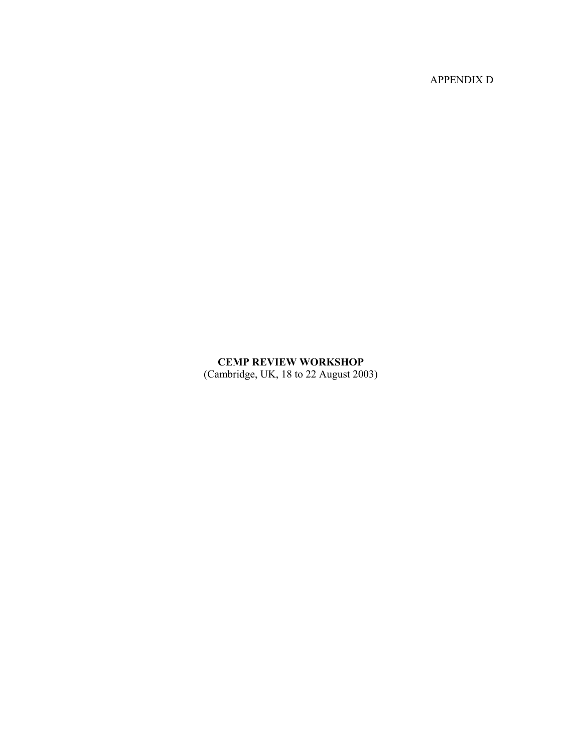APPENDIX D

# **CEMP REVIEW WORKSHOP**

(Cambridge, UK, 18 to 22 August 2003)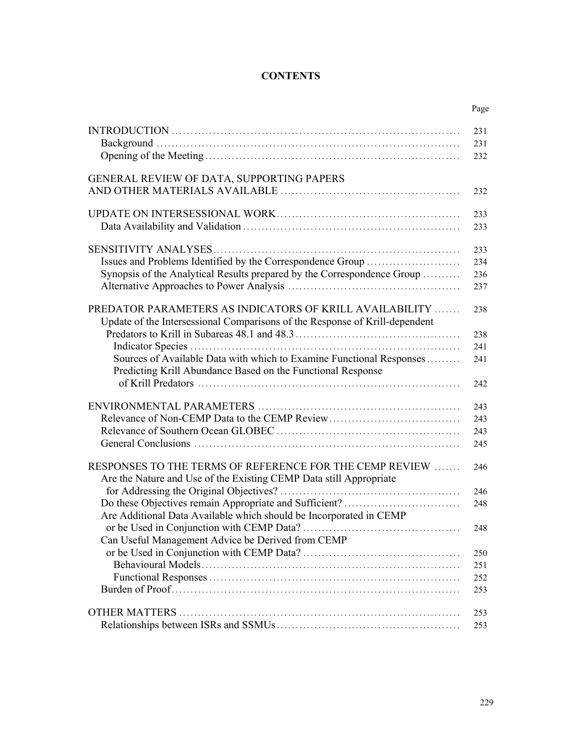# **CONTENTS**

|                                                                                                                                                | Page |
|------------------------------------------------------------------------------------------------------------------------------------------------|------|
|                                                                                                                                                | 231  |
|                                                                                                                                                | 231  |
|                                                                                                                                                | 232  |
| GENERAL REVIEW OF DATA, SUPPORTING PAPERS                                                                                                      |      |
|                                                                                                                                                | 232  |
|                                                                                                                                                | 233  |
|                                                                                                                                                | 233  |
|                                                                                                                                                | 233  |
| Issues and Problems Identified by the Correspondence Group                                                                                     | 234  |
| Synopsis of the Analytical Results prepared by the Correspondence Group                                                                        | 236  |
|                                                                                                                                                | 237  |
| <b>PREDATOR PARAMETERS AS INDICATORS OF KRILL AVAILABILITY </b><br>Update of the Intersessional Comparisons of the Response of Krill-dependent | 238  |
|                                                                                                                                                | 238  |
|                                                                                                                                                | 241  |
| Sources of Available Data with which to Examine Functional Responses<br>Predicting Krill Abundance Based on the Functional Response            | 241  |
|                                                                                                                                                | 242  |
|                                                                                                                                                | 243  |
| Relevance of Non-CEMP Data to the CEMP Review                                                                                                  | 243  |
|                                                                                                                                                | 243  |
|                                                                                                                                                | 245  |
| RESPONSES TO THE TERMS OF REFERENCE FOR THE CEMP REVIEW                                                                                        | 246  |
| Are the Nature and Use of the Existing CEMP Data still Appropriate                                                                             |      |
|                                                                                                                                                | 246  |
|                                                                                                                                                | 248  |
| Are Additional Data Available which should be Incorporated in CEMP                                                                             |      |
|                                                                                                                                                | 248  |
| Can Useful Management Advice be Derived from CEMP                                                                                              |      |
|                                                                                                                                                | 250  |
|                                                                                                                                                | 251  |
|                                                                                                                                                | 252  |
|                                                                                                                                                | 253  |
|                                                                                                                                                | 253  |
|                                                                                                                                                | 253  |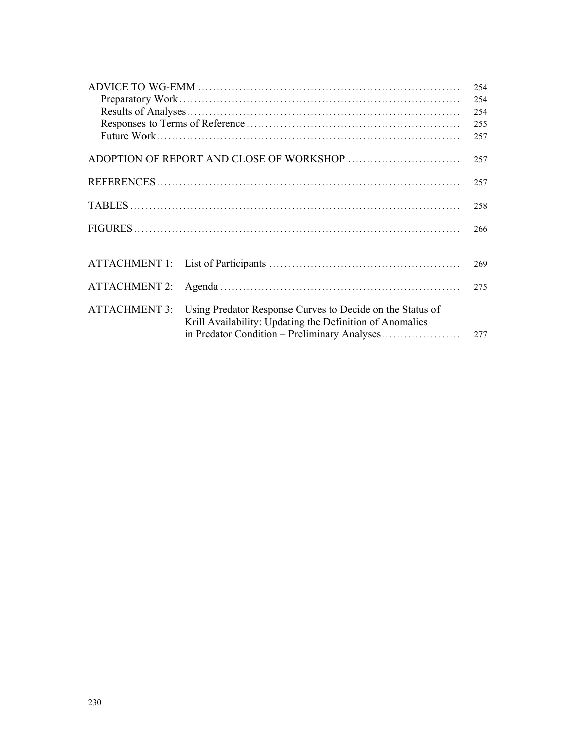|                      |                                                           | 254 |
|----------------------|-----------------------------------------------------------|-----|
|                      |                                                           | 254 |
|                      |                                                           | 254 |
|                      |                                                           | 255 |
|                      |                                                           | 257 |
|                      |                                                           |     |
|                      |                                                           | 257 |
|                      |                                                           |     |
|                      |                                                           | 257 |
|                      |                                                           |     |
|                      |                                                           | 258 |
|                      |                                                           | 266 |
|                      |                                                           |     |
|                      |                                                           |     |
|                      |                                                           | 269 |
|                      |                                                           |     |
| <b>ATTACHMENT 2:</b> |                                                           | 275 |
|                      |                                                           |     |
| <b>ATTACHMENT 3:</b> | Using Predator Response Curves to Decide on the Status of |     |
|                      | Krill Availability: Updating the Definition of Anomalies  |     |
|                      |                                                           | 277 |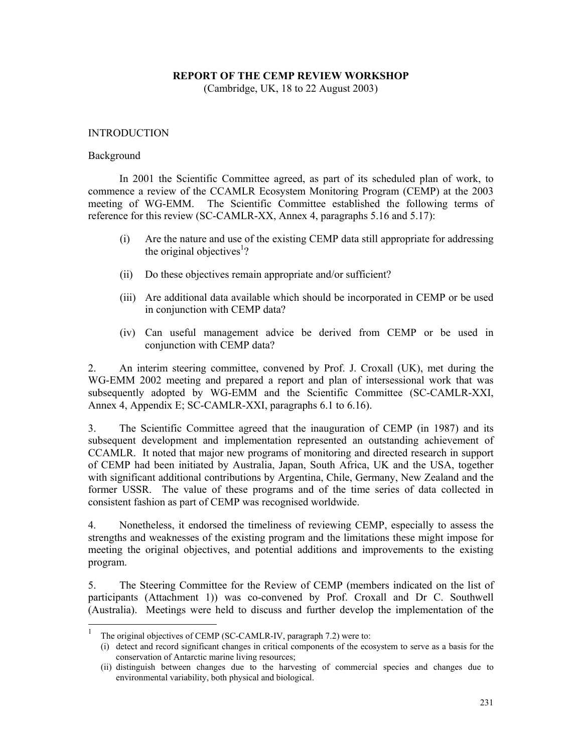### **REPORT OF THE CEMP REVIEW WORKSHOP**

(Cambridge, UK, 18 to 22 August 2003)

#### INTRODUCTION

#### Background

 In 2001 the Scientific Committee agreed, as part of its scheduled plan of work, to commence a review of the CCAMLR Ecosystem Monitoring Program (CEMP) at the 2003 meeting of WG-EMM. The Scientific Committee established the following terms of reference for this review (SC-CAMLR-XX, Annex 4, paragraphs 5.16 and 5.17):

- (i) Are the nature and use of the existing CEMP data still appropriate for addressing the original objectives<sup>1</sup>?
- (ii) Do these objectives remain appropriate and/or sufficient?
- (iii) Are additional data available which should be incorporated in CEMP or be used in conjunction with CEMP data?
- (iv) Can useful management advice be derived from CEMP or be used in conjunction with CEMP data?

2. An interim steering committee, convened by Prof. J. Croxall (UK), met during the WG-EMM 2002 meeting and prepared a report and plan of intersessional work that was subsequently adopted by WG-EMM and the Scientific Committee (SC-CAMLR-XXI, Annex 4, Appendix E; SC-CAMLR-XXI, paragraphs 6.1 to 6.16).

3. The Scientific Committee agreed that the inauguration of CEMP (in 1987) and its subsequent development and implementation represented an outstanding achievement of CCAMLR. It noted that major new programs of monitoring and directed research in support of CEMP had been initiated by Australia, Japan, South Africa, UK and the USA, together with significant additional contributions by Argentina, Chile, Germany, New Zealand and the former USSR. The value of these programs and of the time series of data collected in consistent fashion as part of CEMP was recognised worldwide.

4. Nonetheless, it endorsed the timeliness of reviewing CEMP, especially to assess the strengths and weaknesses of the existing program and the limitations these might impose for meeting the original objectives, and potential additions and improvements to the existing program.

5. The Steering Committee for the Review of CEMP (members indicated on the list of participants (Attachment 1)) was co-convened by Prof. Croxall and Dr C. Southwell (Australia). Meetings were held to discuss and further develop the implementation of the

<sup>1</sup> The original objectives of CEMP (SC-CAMLR-IV, paragraph 7.2) were to:

<sup>(</sup>i) detect and record significant changes in critical components of the ecosystem to serve as a basis for the conservation of Antarctic marine living resources;

<sup>(</sup>ii) distinguish between changes due to the harvesting of commercial species and changes due to environmental variability, both physical and biological.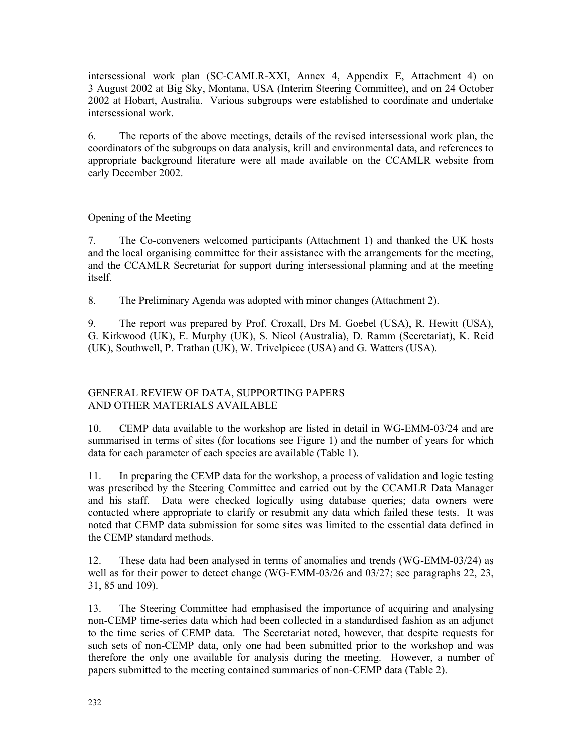intersessional work plan (SC-CAMLR-XXI, Annex 4, Appendix E, Attachment 4) on 3 August 2002 at Big Sky, Montana, USA (Interim Steering Committee), and on 24 October 2002 at Hobart, Australia. Various subgroups were established to coordinate and undertake intersessional work.

6. The reports of the above meetings, details of the revised intersessional work plan, the coordinators of the subgroups on data analysis, krill and environmental data, and references to appropriate background literature were all made available on the CCAMLR website from early December 2002.

Opening of the Meeting

7. The Co-conveners welcomed participants (Attachment 1) and thanked the UK hosts and the local organising committee for their assistance with the arrangements for the meeting, and the CCAMLR Secretariat for support during intersessional planning and at the meeting itself.

8. The Preliminary Agenda was adopted with minor changes (Attachment 2).

9. The report was prepared by Prof. Croxall, Drs M. Goebel (USA), R. Hewitt (USA), G. Kirkwood (UK), E. Murphy (UK), S. Nicol (Australia), D. Ramm (Secretariat), K. Reid (UK), Southwell, P. Trathan (UK), W. Trivelpiece (USA) and G. Watters (USA).

# GENERAL REVIEW OF DATA, SUPPORTING PAPERS AND OTHER MATERIALS AVAILABLE

10. CEMP data available to the workshop are listed in detail in WG-EMM-03/24 and are summarised in terms of sites (for locations see Figure 1) and the number of years for which data for each parameter of each species are available (Table 1).

11. In preparing the CEMP data for the workshop, a process of validation and logic testing was prescribed by the Steering Committee and carried out by the CCAMLR Data Manager and his staff. Data were checked logically using database queries; data owners were contacted where appropriate to clarify or resubmit any data which failed these tests. It was noted that CEMP data submission for some sites was limited to the essential data defined in the CEMP standard methods.

12. These data had been analysed in terms of anomalies and trends (WG-EMM-03/24) as well as for their power to detect change (WG-EMM-03/26 and 03/27; see paragraphs 22, 23, 31, 85 and 109).

13. The Steering Committee had emphasised the importance of acquiring and analysing non-CEMP time-series data which had been collected in a standardised fashion as an adjunct to the time series of CEMP data. The Secretariat noted, however, that despite requests for such sets of non-CEMP data, only one had been submitted prior to the workshop and was therefore the only one available for analysis during the meeting. However, a number of papers submitted to the meeting contained summaries of non-CEMP data (Table 2).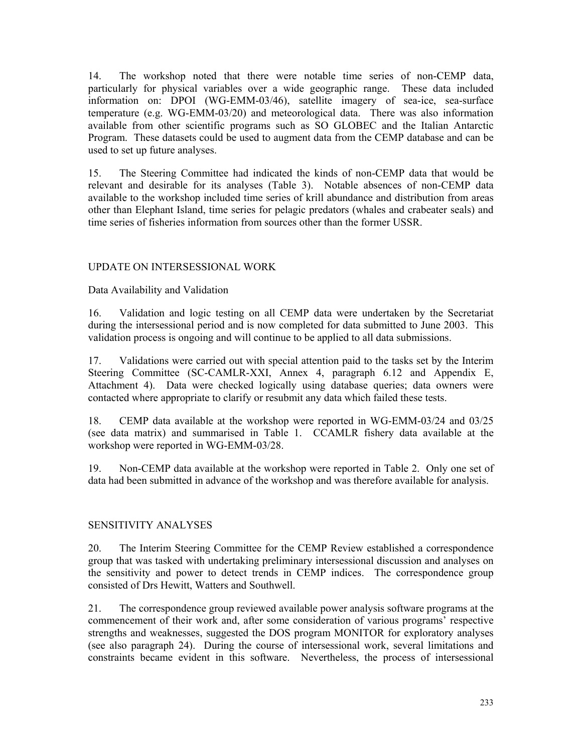14. The workshop noted that there were notable time series of non-CEMP data, particularly for physical variables over a wide geographic range. These data included information on: DPOI (WG-EMM-03/46), satellite imagery of sea-ice, sea-surface temperature (e.g. WG-EMM-03/20) and meteorological data. There was also information available from other scientific programs such as SO GLOBEC and the Italian Antarctic Program. These datasets could be used to augment data from the CEMP database and can be used to set up future analyses.

15. The Steering Committee had indicated the kinds of non-CEMP data that would be relevant and desirable for its analyses (Table 3). Notable absences of non-CEMP data available to the workshop included time series of krill abundance and distribution from areas other than Elephant Island, time series for pelagic predators (whales and crabeater seals) and time series of fisheries information from sources other than the former USSR.

# UPDATE ON INTERSESSIONAL WORK

Data Availability and Validation

16. Validation and logic testing on all CEMP data were undertaken by the Secretariat during the intersessional period and is now completed for data submitted to June 2003. This validation process is ongoing and will continue to be applied to all data submissions.

17. Validations were carried out with special attention paid to the tasks set by the Interim Steering Committee (SC-CAMLR-XXI, Annex 4, paragraph 6.12 and Appendix E, Attachment 4). Data were checked logically using database queries; data owners were contacted where appropriate to clarify or resubmit any data which failed these tests.

18. CEMP data available at the workshop were reported in WG-EMM-03/24 and 03/25 (see data matrix) and summarised in Table 1. CCAMLR fishery data available at the workshop were reported in WG-EMM-03/28.

19. Non-CEMP data available at the workshop were reported in Table 2. Only one set of data had been submitted in advance of the workshop and was therefore available for analysis.

# SENSITIVITY ANALYSES

20. The Interim Steering Committee for the CEMP Review established a correspondence group that was tasked with undertaking preliminary intersessional discussion and analyses on the sensitivity and power to detect trends in CEMP indices. The correspondence group consisted of Drs Hewitt, Watters and Southwell.

21. The correspondence group reviewed available power analysis software programs at the commencement of their work and, after some consideration of various programs' respective strengths and weaknesses, suggested the DOS program MONITOR for exploratory analyses (see also paragraph 24). During the course of intersessional work, several limitations and constraints became evident in this software. Nevertheless, the process of intersessional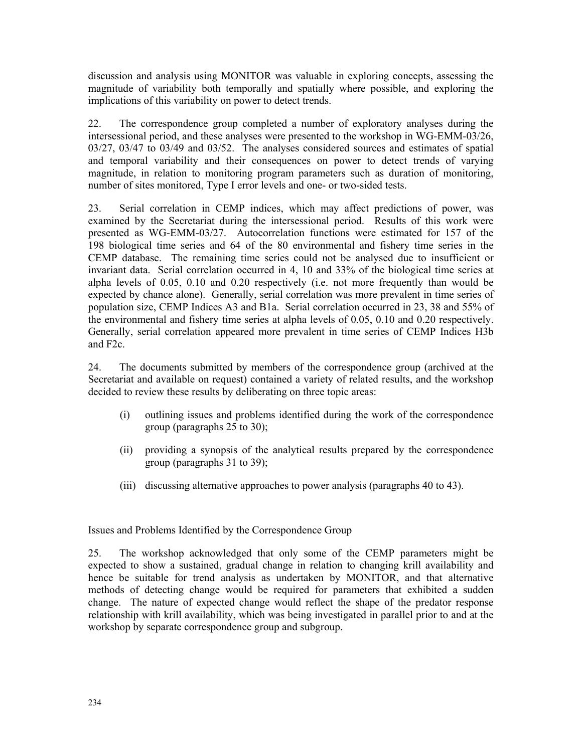discussion and analysis using MONITOR was valuable in exploring concepts, assessing the magnitude of variability both temporally and spatially where possible, and exploring the implications of this variability on power to detect trends.

22. The correspondence group completed a number of exploratory analyses during the intersessional period, and these analyses were presented to the workshop in WG-EMM-03/26, 03/27, 03/47 to 03/49 and 03/52. The analyses considered sources and estimates of spatial and temporal variability and their consequences on power to detect trends of varying magnitude, in relation to monitoring program parameters such as duration of monitoring, number of sites monitored, Type I error levels and one- or two-sided tests.

23. Serial correlation in CEMP indices, which may affect predictions of power, was examined by the Secretariat during the intersessional period. Results of this work were presented as WG-EMM-03/27. Autocorrelation functions were estimated for 157 of the 198 biological time series and 64 of the 80 environmental and fishery time series in the CEMP database. The remaining time series could not be analysed due to insufficient or invariant data. Serial correlation occurred in 4, 10 and 33% of the biological time series at alpha levels of 0.05, 0.10 and 0.20 respectively (i.e. not more frequently than would be expected by chance alone). Generally, serial correlation was more prevalent in time series of population size, CEMP Indices A3 and B1a. Serial correlation occurred in 23, 38 and 55% of the environmental and fishery time series at alpha levels of 0.05, 0.10 and 0.20 respectively. Generally, serial correlation appeared more prevalent in time series of CEMP Indices H3b and F2c.

24. The documents submitted by members of the correspondence group (archived at the Secretariat and available on request) contained a variety of related results, and the workshop decided to review these results by deliberating on three topic areas:

- (i) outlining issues and problems identified during the work of the correspondence group (paragraphs 25 to 30);
- (ii) providing a synopsis of the analytical results prepared by the correspondence group (paragraphs 31 to 39);
- (iii) discussing alternative approaches to power analysis (paragraphs 40 to 43).

Issues and Problems Identified by the Correspondence Group

25. The workshop acknowledged that only some of the CEMP parameters might be expected to show a sustained, gradual change in relation to changing krill availability and hence be suitable for trend analysis as undertaken by MONITOR, and that alternative methods of detecting change would be required for parameters that exhibited a sudden change. The nature of expected change would reflect the shape of the predator response relationship with krill availability, which was being investigated in parallel prior to and at the workshop by separate correspondence group and subgroup.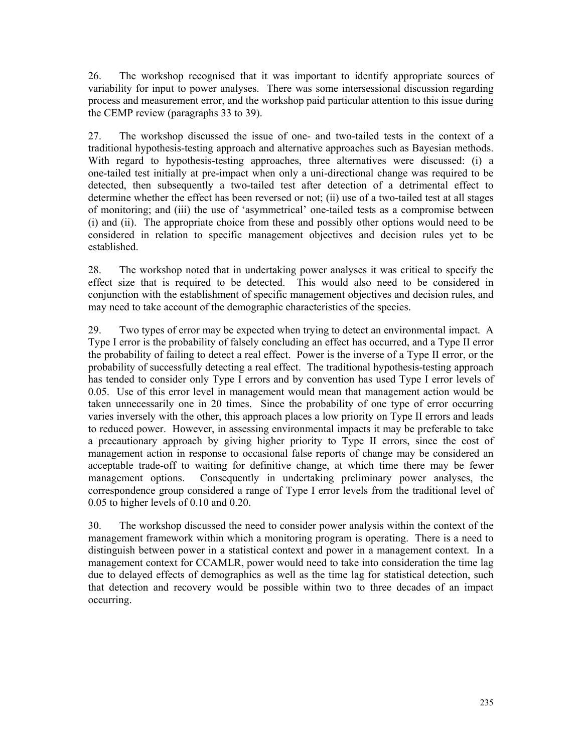26. The workshop recognised that it was important to identify appropriate sources of variability for input to power analyses. There was some intersessional discussion regarding process and measurement error, and the workshop paid particular attention to this issue during the CEMP review (paragraphs 33 to 39).

27. The workshop discussed the issue of one- and two-tailed tests in the context of a traditional hypothesis-testing approach and alternative approaches such as Bayesian methods. With regard to hypothesis-testing approaches, three alternatives were discussed: (i) a one-tailed test initially at pre-impact when only a uni-directional change was required to be detected, then subsequently a two-tailed test after detection of a detrimental effect to determine whether the effect has been reversed or not; (ii) use of a two-tailed test at all stages of monitoring; and (iii) the use of 'asymmetrical' one-tailed tests as a compromise between (i) and (ii). The appropriate choice from these and possibly other options would need to be considered in relation to specific management objectives and decision rules yet to be established.

28. The workshop noted that in undertaking power analyses it was critical to specify the effect size that is required to be detected. This would also need to be considered in conjunction with the establishment of specific management objectives and decision rules, and may need to take account of the demographic characteristics of the species.

29. Two types of error may be expected when trying to detect an environmental impact. A Type I error is the probability of falsely concluding an effect has occurred, and a Type II error the probability of failing to detect a real effect. Power is the inverse of a Type II error, or the probability of successfully detecting a real effect. The traditional hypothesis-testing approach has tended to consider only Type I errors and by convention has used Type I error levels of 0.05. Use of this error level in management would mean that management action would be taken unnecessarily one in 20 times. Since the probability of one type of error occurring varies inversely with the other, this approach places a low priority on Type II errors and leads to reduced power. However, in assessing environmental impacts it may be preferable to take a precautionary approach by giving higher priority to Type II errors, since the cost of management action in response to occasional false reports of change may be considered an acceptable trade-off to waiting for definitive change, at which time there may be fewer management options. Consequently in undertaking preliminary power analyses, the correspondence group considered a range of Type I error levels from the traditional level of 0.05 to higher levels of 0.10 and 0.20.

30. The workshop discussed the need to consider power analysis within the context of the management framework within which a monitoring program is operating. There is a need to distinguish between power in a statistical context and power in a management context. In a management context for CCAMLR, power would need to take into consideration the time lag due to delayed effects of demographics as well as the time lag for statistical detection, such that detection and recovery would be possible within two to three decades of an impact occurring.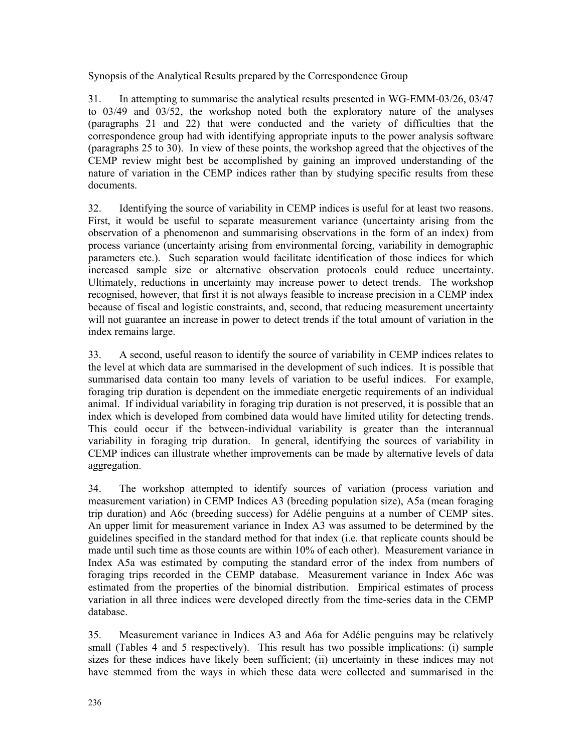Synopsis of the Analytical Results prepared by the Correspondence Group

31. In attempting to summarise the analytical results presented in WG-EMM-03/26, 03/47 to 03/49 and 03/52, the workshop noted both the exploratory nature of the analyses (paragraphs 21 and 22) that were conducted and the variety of difficulties that the correspondence group had with identifying appropriate inputs to the power analysis software (paragraphs 25 to 30). In view of these points, the workshop agreed that the objectives of the CEMP review might best be accomplished by gaining an improved understanding of the nature of variation in the CEMP indices rather than by studying specific results from these documents.

32. Identifying the source of variability in CEMP indices is useful for at least two reasons. First, it would be useful to separate measurement variance (uncertainty arising from the observation of a phenomenon and summarising observations in the form of an index) from process variance (uncertainty arising from environmental forcing, variability in demographic parameters etc.). Such separation would facilitate identification of those indices for which increased sample size or alternative observation protocols could reduce uncertainty. Ultimately, reductions in uncertainty may increase power to detect trends. The workshop recognised, however, that first it is not always feasible to increase precision in a CEMP index because of fiscal and logistic constraints, and, second, that reducing measurement uncertainty will not guarantee an increase in power to detect trends if the total amount of variation in the index remains large.

33. A second, useful reason to identify the source of variability in CEMP indices relates to the level at which data are summarised in the development of such indices. It is possible that summarised data contain too many levels of variation to be useful indices. For example, foraging trip duration is dependent on the immediate energetic requirements of an individual animal. If individual variability in foraging trip duration is not preserved, it is possible that an index which is developed from combined data would have limited utility for detecting trends. This could occur if the between-individual variability is greater than the interannual variability in foraging trip duration. In general, identifying the sources of variability in CEMP indices can illustrate whether improvements can be made by alternative levels of data aggregation.

34. The workshop attempted to identify sources of variation (process variation and measurement variation) in CEMP Indices A3 (breeding population size), A5a (mean foraging trip duration) and A6c (breeding success) for Adélie penguins at a number of CEMP sites. An upper limit for measurement variance in Index A3 was assumed to be determined by the guidelines specified in the standard method for that index (i.e. that replicate counts should be made until such time as those counts are within 10% of each other). Measurement variance in Index A5a was estimated by computing the standard error of the index from numbers of foraging trips recorded in the CEMP database. Measurement variance in Index A6c was estimated from the properties of the binomial distribution. Empirical estimates of process variation in all three indices were developed directly from the time-series data in the CEMP database.

35. Measurement variance in Indices A3 and A6a for Adélie penguins may be relatively small (Tables 4 and 5 respectively). This result has two possible implications: (i) sample sizes for these indices have likely been sufficient; (ii) uncertainty in these indices may not have stemmed from the ways in which these data were collected and summarised in the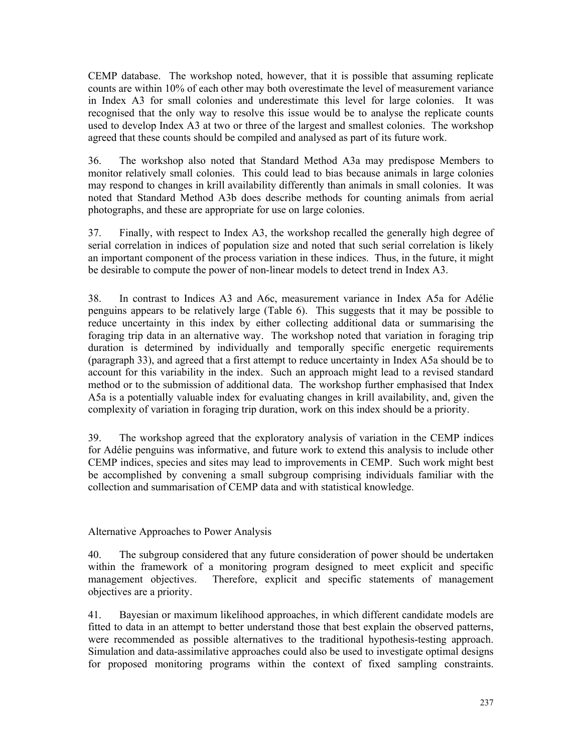CEMP database. The workshop noted, however, that it is possible that assuming replicate counts are within 10% of each other may both overestimate the level of measurement variance in Index A3 for small colonies and underestimate this level for large colonies. It was recognised that the only way to resolve this issue would be to analyse the replicate counts used to develop Index A3 at two or three of the largest and smallest colonies. The workshop agreed that these counts should be compiled and analysed as part of its future work.

36. The workshop also noted that Standard Method A3a may predispose Members to monitor relatively small colonies. This could lead to bias because animals in large colonies may respond to changes in krill availability differently than animals in small colonies. It was noted that Standard Method A3b does describe methods for counting animals from aerial photographs, and these are appropriate for use on large colonies.

37. Finally, with respect to Index A3, the workshop recalled the generally high degree of serial correlation in indices of population size and noted that such serial correlation is likely an important component of the process variation in these indices. Thus, in the future, it might be desirable to compute the power of non-linear models to detect trend in Index A3.

38. In contrast to Indices A3 and A6c, measurement variance in Index A5a for Adélie penguins appears to be relatively large (Table 6). This suggests that it may be possible to reduce uncertainty in this index by either collecting additional data or summarising the foraging trip data in an alternative way. The workshop noted that variation in foraging trip duration is determined by individually and temporally specific energetic requirements (paragraph 33), and agreed that a first attempt to reduce uncertainty in Index A5a should be to account for this variability in the index. Such an approach might lead to a revised standard method or to the submission of additional data. The workshop further emphasised that Index A5a is a potentially valuable index for evaluating changes in krill availability, and, given the complexity of variation in foraging trip duration, work on this index should be a priority.

39. The workshop agreed that the exploratory analysis of variation in the CEMP indices for Adélie penguins was informative, and future work to extend this analysis to include other CEMP indices, species and sites may lead to improvements in CEMP. Such work might best be accomplished by convening a small subgroup comprising individuals familiar with the collection and summarisation of CEMP data and with statistical knowledge.

Alternative Approaches to Power Analysis

40. The subgroup considered that any future consideration of power should be undertaken within the framework of a monitoring program designed to meet explicit and specific management objectives. Therefore, explicit and specific statements of management objectives are a priority.

41. Bayesian or maximum likelihood approaches, in which different candidate models are fitted to data in an attempt to better understand those that best explain the observed patterns, were recommended as possible alternatives to the traditional hypothesis-testing approach. Simulation and data-assimilative approaches could also be used to investigate optimal designs for proposed monitoring programs within the context of fixed sampling constraints.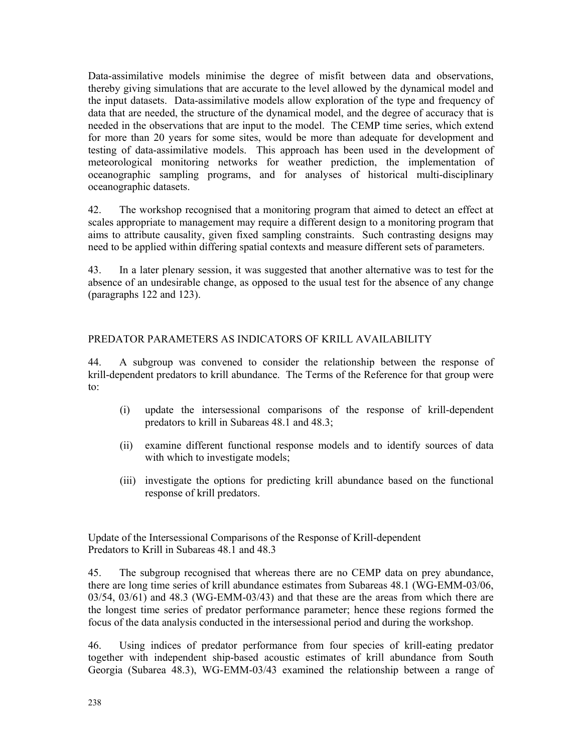Data-assimilative models minimise the degree of misfit between data and observations, thereby giving simulations that are accurate to the level allowed by the dynamical model and the input datasets. Data-assimilative models allow exploration of the type and frequency of data that are needed, the structure of the dynamical model, and the degree of accuracy that is needed in the observations that are input to the model. The CEMP time series, which extend for more than 20 years for some sites, would be more than adequate for development and testing of data-assimilative models. This approach has been used in the development of meteorological monitoring networks for weather prediction, the implementation of oceanographic sampling programs, and for analyses of historical multi-disciplinary oceanographic datasets.

42. The workshop recognised that a monitoring program that aimed to detect an effect at scales appropriate to management may require a different design to a monitoring program that aims to attribute causality, given fixed sampling constraints. Such contrasting designs may need to be applied within differing spatial contexts and measure different sets of parameters.

43. In a later plenary session, it was suggested that another alternative was to test for the absence of an undesirable change, as opposed to the usual test for the absence of any change (paragraphs 122 and 123).

# PREDATOR PARAMETERS AS INDICATORS OF KRILL AVAILABILITY

44. A subgroup was convened to consider the relationship between the response of krill-dependent predators to krill abundance. The Terms of the Reference for that group were to:

- (i) update the intersessional comparisons of the response of krill-dependent predators to krill in Subareas 48.1 and 48.3;
- (ii) examine different functional response models and to identify sources of data with which to investigate models;
- (iii) investigate the options for predicting krill abundance based on the functional response of krill predators.

Update of the Intersessional Comparisons of the Response of Krill-dependent Predators to Krill in Subareas 48.1 and 48.3

45. The subgroup recognised that whereas there are no CEMP data on prey abundance, there are long time series of krill abundance estimates from Subareas 48.1 (WG-EMM-03/06, 03/54, 03/61) and 48.3 (WG-EMM-03/43) and that these are the areas from which there are the longest time series of predator performance parameter; hence these regions formed the focus of the data analysis conducted in the intersessional period and during the workshop.

46. Using indices of predator performance from four species of krill-eating predator together with independent ship-based acoustic estimates of krill abundance from South Georgia (Subarea 48.3), WG-EMM-03/43 examined the relationship between a range of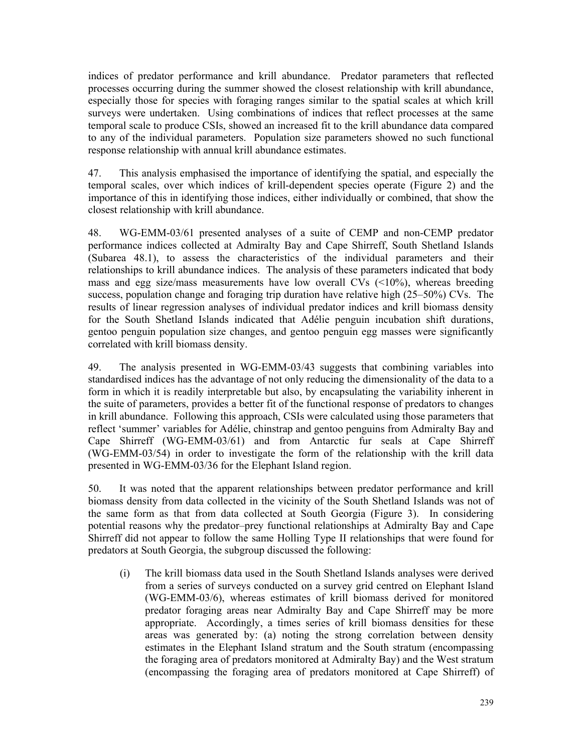indices of predator performance and krill abundance. Predator parameters that reflected processes occurring during the summer showed the closest relationship with krill abundance, especially those for species with foraging ranges similar to the spatial scales at which krill surveys were undertaken. Using combinations of indices that reflect processes at the same temporal scale to produce CSIs, showed an increased fit to the krill abundance data compared to any of the individual parameters. Population size parameters showed no such functional response relationship with annual krill abundance estimates.

47. This analysis emphasised the importance of identifying the spatial, and especially the temporal scales, over which indices of krill-dependent species operate (Figure 2) and the importance of this in identifying those indices, either individually or combined, that show the closest relationship with krill abundance.

48. WG-EMM-03/61 presented analyses of a suite of CEMP and non-CEMP predator performance indices collected at Admiralty Bay and Cape Shirreff, South Shetland Islands (Subarea 48.1), to assess the characteristics of the individual parameters and their relationships to krill abundance indices. The analysis of these parameters indicated that body mass and egg size/mass measurements have low overall CVs (<10%), whereas breeding success, population change and foraging trip duration have relative high (25–50%) CVs. The results of linear regression analyses of individual predator indices and krill biomass density for the South Shetland Islands indicated that Adélie penguin incubation shift durations, gentoo penguin population size changes, and gentoo penguin egg masses were significantly correlated with krill biomass density.

49. The analysis presented in WG-EMM-03/43 suggests that combining variables into standardised indices has the advantage of not only reducing the dimensionality of the data to a form in which it is readily interpretable but also, by encapsulating the variability inherent in the suite of parameters, provides a better fit of the functional response of predators to changes in krill abundance. Following this approach, CSIs were calculated using those parameters that reflect 'summer' variables for Adélie, chinstrap and gentoo penguins from Admiralty Bay and Cape Shirreff (WG-EMM-03/61) and from Antarctic fur seals at Cape Shirreff (WG-EMM-03/54) in order to investigate the form of the relationship with the krill data presented in WG-EMM-03/36 for the Elephant Island region.

50. It was noted that the apparent relationships between predator performance and krill biomass density from data collected in the vicinity of the South Shetland Islands was not of the same form as that from data collected at South Georgia (Figure 3). In considering potential reasons why the predator–prey functional relationships at Admiralty Bay and Cape Shirreff did not appear to follow the same Holling Type II relationships that were found for predators at South Georgia, the subgroup discussed the following:

(i) The krill biomass data used in the South Shetland Islands analyses were derived from a series of surveys conducted on a survey grid centred on Elephant Island (WG-EMM-03/6), whereas estimates of krill biomass derived for monitored predator foraging areas near Admiralty Bay and Cape Shirreff may be more appropriate. Accordingly, a times series of krill biomass densities for these areas was generated by: (a) noting the strong correlation between density estimates in the Elephant Island stratum and the South stratum (encompassing the foraging area of predators monitored at Admiralty Bay) and the West stratum (encompassing the foraging area of predators monitored at Cape Shirreff) of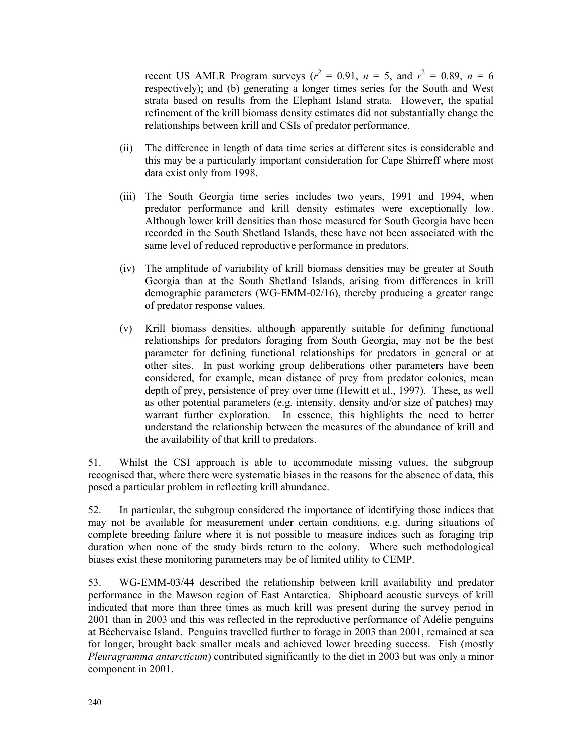recent US AMLR Program surveys ( $r^2 = 0.91$ ,  $n = 5$ , and  $r^2 = 0.89$ ,  $n = 6$ respectively); and (b) generating a longer times series for the South and West strata based on results from the Elephant Island strata. However, the spatial refinement of the krill biomass density estimates did not substantially change the relationships between krill and CSIs of predator performance.

- (ii) The difference in length of data time series at different sites is considerable and this may be a particularly important consideration for Cape Shirreff where most data exist only from 1998.
- (iii) The South Georgia time series includes two years, 1991 and 1994, when predator performance and krill density estimates were exceptionally low. Although lower krill densities than those measured for South Georgia have been recorded in the South Shetland Islands, these have not been associated with the same level of reduced reproductive performance in predators.
- (iv) The amplitude of variability of krill biomass densities may be greater at South Georgia than at the South Shetland Islands, arising from differences in krill demographic parameters (WG-EMM-02/16), thereby producing a greater range of predator response values.
- (v) Krill biomass densities, although apparently suitable for defining functional relationships for predators foraging from South Georgia, may not be the best parameter for defining functional relationships for predators in general or at other sites. In past working group deliberations other parameters have been considered, for example, mean distance of prey from predator colonies, mean depth of prey, persistence of prey over time (Hewitt et al., 1997). These, as well as other potential parameters (e.g. intensity, density and/or size of patches) may warrant further exploration. In essence, this highlights the need to better understand the relationship between the measures of the abundance of krill and the availability of that krill to predators.

51. Whilst the CSI approach is able to accommodate missing values, the subgroup recognised that, where there were systematic biases in the reasons for the absence of data, this posed a particular problem in reflecting krill abundance.

52. In particular, the subgroup considered the importance of identifying those indices that may not be available for measurement under certain conditions, e.g. during situations of complete breeding failure where it is not possible to measure indices such as foraging trip duration when none of the study birds return to the colony. Where such methodological biases exist these monitoring parameters may be of limited utility to CEMP.

53. WG-EMM-03/44 described the relationship between krill availability and predator performance in the Mawson region of East Antarctica. Shipboard acoustic surveys of krill indicated that more than three times as much krill was present during the survey period in 2001 than in 2003 and this was reflected in the reproductive performance of Adélie penguins at Béchervaise Island. Penguins travelled further to forage in 2003 than 2001, remained at sea for longer, brought back smaller meals and achieved lower breeding success. Fish (mostly *Pleuragramma antarcticum*) contributed significantly to the diet in 2003 but was only a minor component in 2001.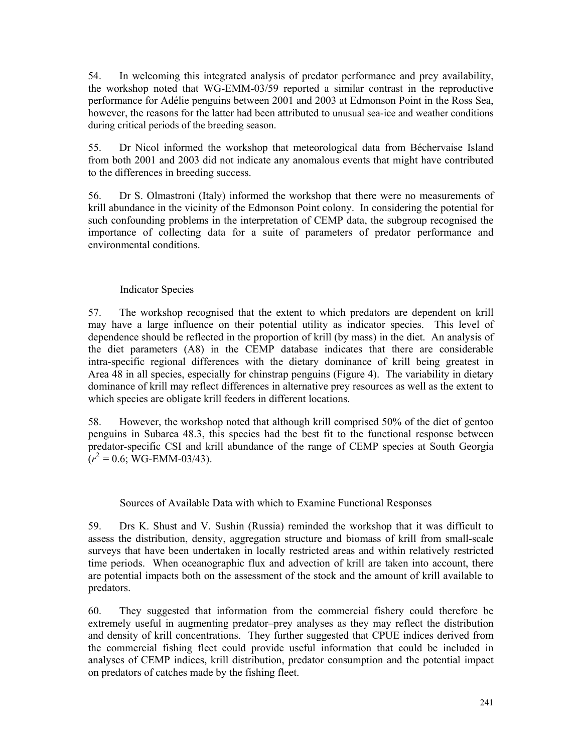54. In welcoming this integrated analysis of predator performance and prey availability, the workshop noted that WG-EMM-03/59 reported a similar contrast in the reproductive performance for Adélie penguins between 2001 and 2003 at Edmonson Point in the Ross Sea, however, the reasons for the latter had been attributed to unusual sea-ice and weather conditions during critical periods of the breeding season.

55. Dr Nicol informed the workshop that meteorological data from Béchervaise Island from both 2001 and 2003 did not indicate any anomalous events that might have contributed to the differences in breeding success.

56. Dr S. Olmastroni (Italy) informed the workshop that there were no measurements of krill abundance in the vicinity of the Edmonson Point colony. In considering the potential for such confounding problems in the interpretation of CEMP data, the subgroup recognised the importance of collecting data for a suite of parameters of predator performance and environmental conditions.

# Indicator Species

57. The workshop recognised that the extent to which predators are dependent on krill may have a large influence on their potential utility as indicator species. This level of dependence should be reflected in the proportion of krill (by mass) in the diet. An analysis of the diet parameters (A8) in the CEMP database indicates that there are considerable intra-specific regional differences with the dietary dominance of krill being greatest in Area 48 in all species, especially for chinstrap penguins (Figure 4). The variability in dietary dominance of krill may reflect differences in alternative prey resources as well as the extent to which species are obligate krill feeders in different locations.

58. However, the workshop noted that although krill comprised 50% of the diet of gentoo penguins in Subarea 48.3, this species had the best fit to the functional response between predator-specific CSI and krill abundance of the range of CEMP species at South Georgia  $(r^2 = 0.6; \text{WG-EMM-03/43}).$ 

### Sources of Available Data with which to Examine Functional Responses

59. Drs K. Shust and V. Sushin (Russia) reminded the workshop that it was difficult to assess the distribution, density, aggregation structure and biomass of krill from small-scale surveys that have been undertaken in locally restricted areas and within relatively restricted time periods. When oceanographic flux and advection of krill are taken into account, there are potential impacts both on the assessment of the stock and the amount of krill available to predators.

60. They suggested that information from the commercial fishery could therefore be extremely useful in augmenting predator–prey analyses as they may reflect the distribution and density of krill concentrations. They further suggested that CPUE indices derived from the commercial fishing fleet could provide useful information that could be included in analyses of CEMP indices, krill distribution, predator consumption and the potential impact on predators of catches made by the fishing fleet.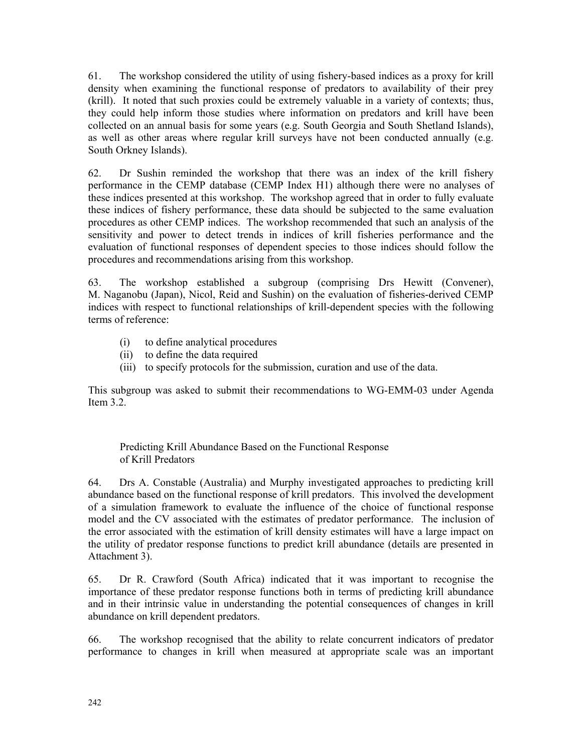61. The workshop considered the utility of using fishery-based indices as a proxy for krill density when examining the functional response of predators to availability of their prey (krill). It noted that such proxies could be extremely valuable in a variety of contexts; thus, they could help inform those studies where information on predators and krill have been collected on an annual basis for some years (e.g. South Georgia and South Shetland Islands), as well as other areas where regular krill surveys have not been conducted annually (e.g. South Orkney Islands).

62. Dr Sushin reminded the workshop that there was an index of the krill fishery performance in the CEMP database (CEMP Index H1) although there were no analyses of these indices presented at this workshop. The workshop agreed that in order to fully evaluate these indices of fishery performance, these data should be subjected to the same evaluation procedures as other CEMP indices. The workshop recommended that such an analysis of the sensitivity and power to detect trends in indices of krill fisheries performance and the evaluation of functional responses of dependent species to those indices should follow the procedures and recommendations arising from this workshop.

63. The workshop established a subgroup (comprising Drs Hewitt (Convener), M. Naganobu (Japan), Nicol, Reid and Sushin) on the evaluation of fisheries-derived CEMP indices with respect to functional relationships of krill-dependent species with the following terms of reference:

- (i) to define analytical procedures
- (ii) to define the data required
- (iii) to specify protocols for the submission, curation and use of the data.

This subgroup was asked to submit their recommendations to WG-EMM-03 under Agenda Item 3.2.

Predicting Krill Abundance Based on the Functional Response of Krill Predators

64. Drs A. Constable (Australia) and Murphy investigated approaches to predicting krill abundance based on the functional response of krill predators. This involved the development of a simulation framework to evaluate the influence of the choice of functional response model and the CV associated with the estimates of predator performance. The inclusion of the error associated with the estimation of krill density estimates will have a large impact on the utility of predator response functions to predict krill abundance (details are presented in Attachment 3).

65. Dr R. Crawford (South Africa) indicated that it was important to recognise the importance of these predator response functions both in terms of predicting krill abundance and in their intrinsic value in understanding the potential consequences of changes in krill abundance on krill dependent predators.

66. The workshop recognised that the ability to relate concurrent indicators of predator performance to changes in krill when measured at appropriate scale was an important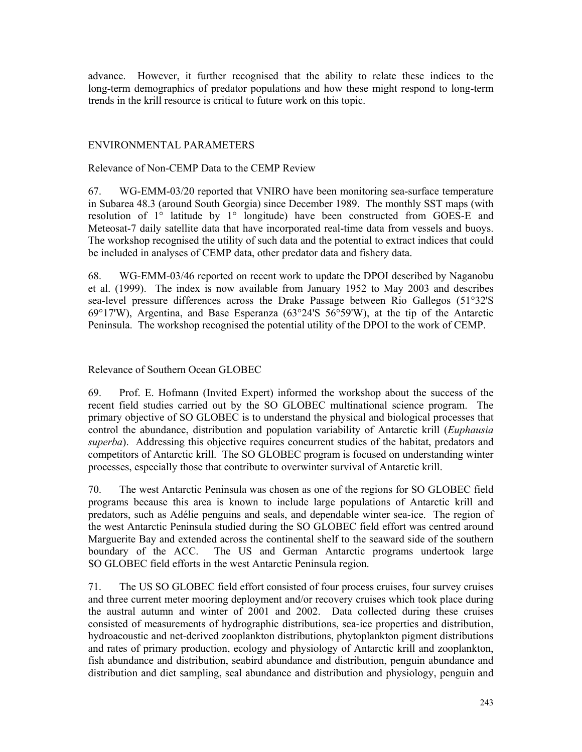advance. However, it further recognised that the ability to relate these indices to the long-term demographics of predator populations and how these might respond to long-term trends in the krill resource is critical to future work on this topic.

### ENVIRONMENTAL PARAMETERS

Relevance of Non-CEMP Data to the CEMP Review

67. WG-EMM-03/20 reported that VNIRO have been monitoring sea-surface temperature in Subarea 48.3 (around South Georgia) since December 1989. The monthly SST maps (with resolution of 1° latitude by 1° longitude) have been constructed from GOES-E and Meteosat-7 daily satellite data that have incorporated real-time data from vessels and buoys. The workshop recognised the utility of such data and the potential to extract indices that could be included in analyses of CEMP data, other predator data and fishery data.

68. WG-EMM-03/46 reported on recent work to update the DPOI described by Naganobu et al. (1999). The index is now available from January 1952 to May 2003 and describes sea-level pressure differences across the Drake Passage between Rio Gallegos (51°32'S 69°17'W), Argentina, and Base Esperanza (63°24'S 56°59'W), at the tip of the Antarctic Peninsula. The workshop recognised the potential utility of the DPOI to the work of CEMP.

### Relevance of Southern Ocean GLOBEC

69. Prof. E. Hofmann (Invited Expert) informed the workshop about the success of the recent field studies carried out by the SO GLOBEC multinational science program. The primary objective of SO GLOBEC is to understand the physical and biological processes that control the abundance, distribution and population variability of Antarctic krill (*Euphausia superba*). Addressing this objective requires concurrent studies of the habitat, predators and competitors of Antarctic krill. The SO GLOBEC program is focused on understanding winter processes, especially those that contribute to overwinter survival of Antarctic krill.

70. The west Antarctic Peninsula was chosen as one of the regions for SO GLOBEC field programs because this area is known to include large populations of Antarctic krill and predators, such as Adélie penguins and seals, and dependable winter sea-ice. The region of the west Antarctic Peninsula studied during the SO GLOBEC field effort was centred around Marguerite Bay and extended across the continental shelf to the seaward side of the southern boundary of the ACC. The US and German Antarctic programs undertook large SO GLOBEC field efforts in the west Antarctic Peninsula region.

71. The US SO GLOBEC field effort consisted of four process cruises, four survey cruises and three current meter mooring deployment and/or recovery cruises which took place during the austral autumn and winter of 2001 and 2002. Data collected during these cruises consisted of measurements of hydrographic distributions, sea-ice properties and distribution, hydroacoustic and net-derived zooplankton distributions, phytoplankton pigment distributions and rates of primary production, ecology and physiology of Antarctic krill and zooplankton, fish abundance and distribution, seabird abundance and distribution, penguin abundance and distribution and diet sampling, seal abundance and distribution and physiology, penguin and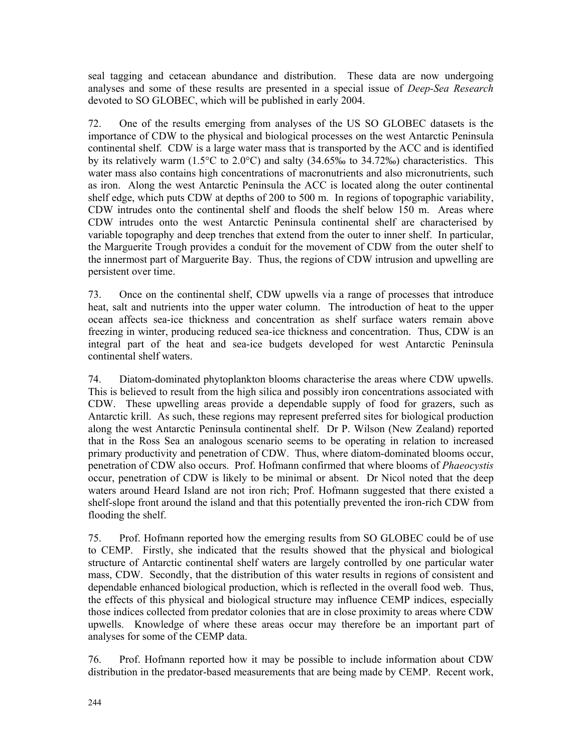seal tagging and cetacean abundance and distribution. These data are now undergoing analyses and some of these results are presented in a special issue of *Deep-Sea Research* devoted to SO GLOBEC, which will be published in early 2004.

72. One of the results emerging from analyses of the US SO GLOBEC datasets is the importance of CDW to the physical and biological processes on the west Antarctic Peninsula continental shelf. CDW is a large water mass that is transported by the ACC and is identified by its relatively warm (1.5°C to 2.0°C) and salty (34.65‰ to 34.72‰) characteristics. This water mass also contains high concentrations of macronutrients and also micronutrients, such as iron. Along the west Antarctic Peninsula the ACC is located along the outer continental shelf edge, which puts CDW at depths of 200 to 500 m. In regions of topographic variability, CDW intrudes onto the continental shelf and floods the shelf below 150 m. Areas where CDW intrudes onto the west Antarctic Peninsula continental shelf are characterised by variable topography and deep trenches that extend from the outer to inner shelf. In particular, the Marguerite Trough provides a conduit for the movement of CDW from the outer shelf to the innermost part of Marguerite Bay. Thus, the regions of CDW intrusion and upwelling are persistent over time.

73. Once on the continental shelf, CDW upwells via a range of processes that introduce heat, salt and nutrients into the upper water column. The introduction of heat to the upper ocean affects sea-ice thickness and concentration as shelf surface waters remain above freezing in winter, producing reduced sea-ice thickness and concentration. Thus, CDW is an integral part of the heat and sea-ice budgets developed for west Antarctic Peninsula continental shelf waters.

74. Diatom-dominated phytoplankton blooms characterise the areas where CDW upwells. This is believed to result from the high silica and possibly iron concentrations associated with CDW. These upwelling areas provide a dependable supply of food for grazers, such as Antarctic krill. As such, these regions may represent preferred sites for biological production along the west Antarctic Peninsula continental shelf. Dr P. Wilson (New Zealand) reported that in the Ross Sea an analogous scenario seems to be operating in relation to increased primary productivity and penetration of CDW. Thus, where diatom-dominated blooms occur, penetration of CDW also occurs. Prof. Hofmann confirmed that where blooms of *Phaeocystis* occur, penetration of CDW is likely to be minimal or absent. Dr Nicol noted that the deep waters around Heard Island are not iron rich; Prof. Hofmann suggested that there existed a shelf-slope front around the island and that this potentially prevented the iron-rich CDW from flooding the shelf.

75. Prof. Hofmann reported how the emerging results from SO GLOBEC could be of use to CEMP. Firstly, she indicated that the results showed that the physical and biological structure of Antarctic continental shelf waters are largely controlled by one particular water mass, CDW. Secondly, that the distribution of this water results in regions of consistent and dependable enhanced biological production, which is reflected in the overall food web. Thus, the effects of this physical and biological structure may influence CEMP indices, especially those indices collected from predator colonies that are in close proximity to areas where CDW upwells. Knowledge of where these areas occur may therefore be an important part of analyses for some of the CEMP data.

76. Prof. Hofmann reported how it may be possible to include information about CDW distribution in the predator-based measurements that are being made by CEMP. Recent work,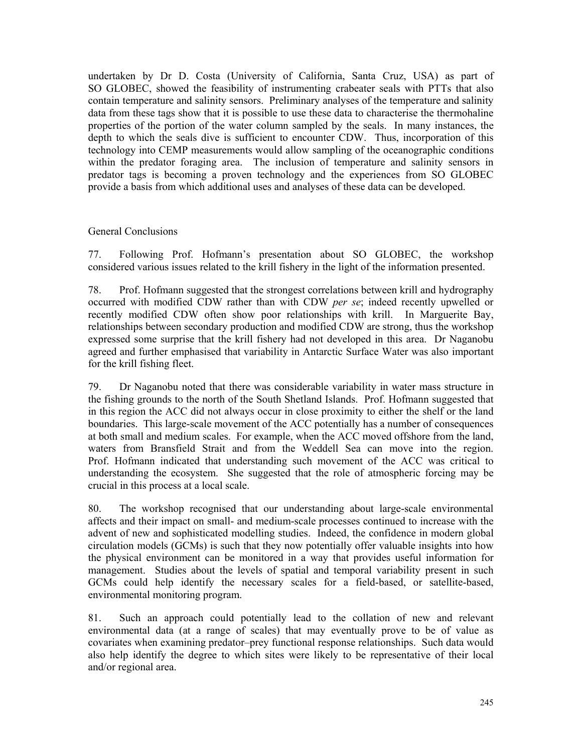undertaken by Dr D. Costa (University of California, Santa Cruz, USA) as part of SO GLOBEC, showed the feasibility of instrumenting crabeater seals with PTTs that also contain temperature and salinity sensors. Preliminary analyses of the temperature and salinity data from these tags show that it is possible to use these data to characterise the thermohaline properties of the portion of the water column sampled by the seals. In many instances, the depth to which the seals dive is sufficient to encounter CDW. Thus, incorporation of this technology into CEMP measurements would allow sampling of the oceanographic conditions within the predator foraging area. The inclusion of temperature and salinity sensors in predator tags is becoming a proven technology and the experiences from SO GLOBEC provide a basis from which additional uses and analyses of these data can be developed.

# General Conclusions

77. Following Prof. Hofmann's presentation about SO GLOBEC, the workshop considered various issues related to the krill fishery in the light of the information presented.

78. Prof. Hofmann suggested that the strongest correlations between krill and hydrography occurred with modified CDW rather than with CDW *per se*; indeed recently upwelled or recently modified CDW often show poor relationships with krill. In Marguerite Bay, relationships between secondary production and modified CDW are strong, thus the workshop expressed some surprise that the krill fishery had not developed in this area. Dr Naganobu agreed and further emphasised that variability in Antarctic Surface Water was also important for the krill fishing fleet.

79. Dr Naganobu noted that there was considerable variability in water mass structure in the fishing grounds to the north of the South Shetland Islands. Prof. Hofmann suggested that in this region the ACC did not always occur in close proximity to either the shelf or the land boundaries. This large-scale movement of the ACC potentially has a number of consequences at both small and medium scales. For example, when the ACC moved offshore from the land, waters from Bransfield Strait and from the Weddell Sea can move into the region. Prof. Hofmann indicated that understanding such movement of the ACC was critical to understanding the ecosystem. She suggested that the role of atmospheric forcing may be crucial in this process at a local scale.

80. The workshop recognised that our understanding about large-scale environmental affects and their impact on small- and medium-scale processes continued to increase with the advent of new and sophisticated modelling studies. Indeed, the confidence in modern global circulation models (GCMs) is such that they now potentially offer valuable insights into how the physical environment can be monitored in a way that provides useful information for management. Studies about the levels of spatial and temporal variability present in such GCMs could help identify the necessary scales for a field-based, or satellite-based, environmental monitoring program.

81. Such an approach could potentially lead to the collation of new and relevant environmental data (at a range of scales) that may eventually prove to be of value as covariates when examining predator–prey functional response relationships. Such data would also help identify the degree to which sites were likely to be representative of their local and/or regional area.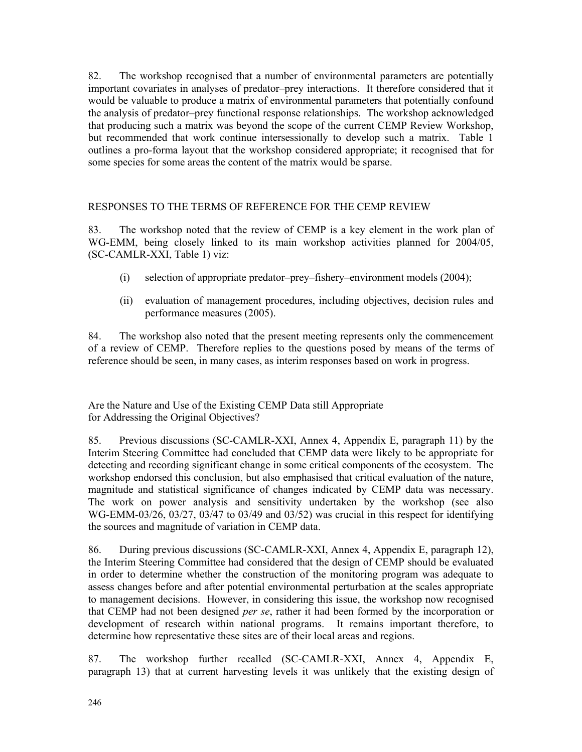82. The workshop recognised that a number of environmental parameters are potentially important covariates in analyses of predator–prey interactions. It therefore considered that it would be valuable to produce a matrix of environmental parameters that potentially confound the analysis of predator–prey functional response relationships. The workshop acknowledged that producing such a matrix was beyond the scope of the current CEMP Review Workshop, but recommended that work continue intersessionally to develop such a matrix. Table 1 outlines a pro-forma layout that the workshop considered appropriate; it recognised that for some species for some areas the content of the matrix would be sparse.

# RESPONSES TO THE TERMS OF REFERENCE FOR THE CEMP REVIEW

83. The workshop noted that the review of CEMP is a key element in the work plan of WG-EMM, being closely linked to its main workshop activities planned for 2004/05, (SC-CAMLR-XXI, Table 1) viz:

- (i) selection of appropriate predator–prey–fishery–environment models (2004);
- (ii) evaluation of management procedures, including objectives, decision rules and performance measures (2005).

84. The workshop also noted that the present meeting represents only the commencement of a review of CEMP. Therefore replies to the questions posed by means of the terms of reference should be seen, in many cases, as interim responses based on work in progress.

Are the Nature and Use of the Existing CEMP Data still Appropriate for Addressing the Original Objectives?

85. Previous discussions (SC-CAMLR-XXI, Annex 4, Appendix E, paragraph 11) by the Interim Steering Committee had concluded that CEMP data were likely to be appropriate for detecting and recording significant change in some critical components of the ecosystem. The workshop endorsed this conclusion, but also emphasised that critical evaluation of the nature, magnitude and statistical significance of changes indicated by CEMP data was necessary. The work on power analysis and sensitivity undertaken by the workshop (see also WG-EMM-03/26, 03/27, 03/47 to 03/49 and 03/52) was crucial in this respect for identifying the sources and magnitude of variation in CEMP data.

86. During previous discussions (SC-CAMLR-XXI, Annex 4, Appendix E, paragraph 12), the Interim Steering Committee had considered that the design of CEMP should be evaluated in order to determine whether the construction of the monitoring program was adequate to assess changes before and after potential environmental perturbation at the scales appropriate to management decisions. However, in considering this issue, the workshop now recognised that CEMP had not been designed *per se*, rather it had been formed by the incorporation or development of research within national programs. It remains important therefore, to determine how representative these sites are of their local areas and regions.

87. The workshop further recalled (SC-CAMLR-XXI, Annex 4, Appendix E, paragraph 13) that at current harvesting levels it was unlikely that the existing design of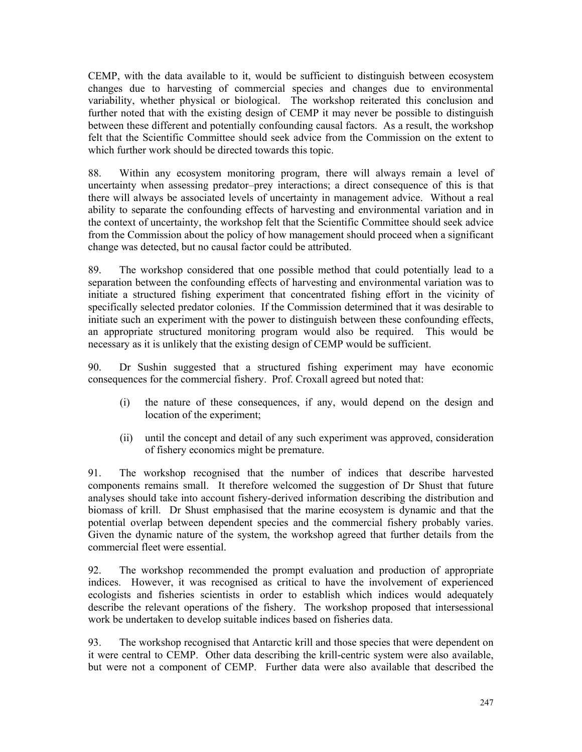CEMP, with the data available to it, would be sufficient to distinguish between ecosystem changes due to harvesting of commercial species and changes due to environmental variability, whether physical or biological. The workshop reiterated this conclusion and further noted that with the existing design of CEMP it may never be possible to distinguish between these different and potentially confounding causal factors. As a result, the workshop felt that the Scientific Committee should seek advice from the Commission on the extent to which further work should be directed towards this topic.

88. Within any ecosystem monitoring program, there will always remain a level of uncertainty when assessing predator–prey interactions; a direct consequence of this is that there will always be associated levels of uncertainty in management advice. Without a real ability to separate the confounding effects of harvesting and environmental variation and in the context of uncertainty, the workshop felt that the Scientific Committee should seek advice from the Commission about the policy of how management should proceed when a significant change was detected, but no causal factor could be attributed.

89. The workshop considered that one possible method that could potentially lead to a separation between the confounding effects of harvesting and environmental variation was to initiate a structured fishing experiment that concentrated fishing effort in the vicinity of specifically selected predator colonies. If the Commission determined that it was desirable to initiate such an experiment with the power to distinguish between these confounding effects, an appropriate structured monitoring program would also be required. This would be necessary as it is unlikely that the existing design of CEMP would be sufficient.

90. Dr Sushin suggested that a structured fishing experiment may have economic consequences for the commercial fishery. Prof. Croxall agreed but noted that:

- (i) the nature of these consequences, if any, would depend on the design and location of the experiment;
- (ii) until the concept and detail of any such experiment was approved, consideration of fishery economics might be premature.

91. The workshop recognised that the number of indices that describe harvested components remains small. It therefore welcomed the suggestion of Dr Shust that future analyses should take into account fishery-derived information describing the distribution and biomass of krill. Dr Shust emphasised that the marine ecosystem is dynamic and that the potential overlap between dependent species and the commercial fishery probably varies. Given the dynamic nature of the system, the workshop agreed that further details from the commercial fleet were essential.

92. The workshop recommended the prompt evaluation and production of appropriate indices. However, it was recognised as critical to have the involvement of experienced ecologists and fisheries scientists in order to establish which indices would adequately describe the relevant operations of the fishery. The workshop proposed that intersessional work be undertaken to develop suitable indices based on fisheries data.

93. The workshop recognised that Antarctic krill and those species that were dependent on it were central to CEMP. Other data describing the krill-centric system were also available, but were not a component of CEMP. Further data were also available that described the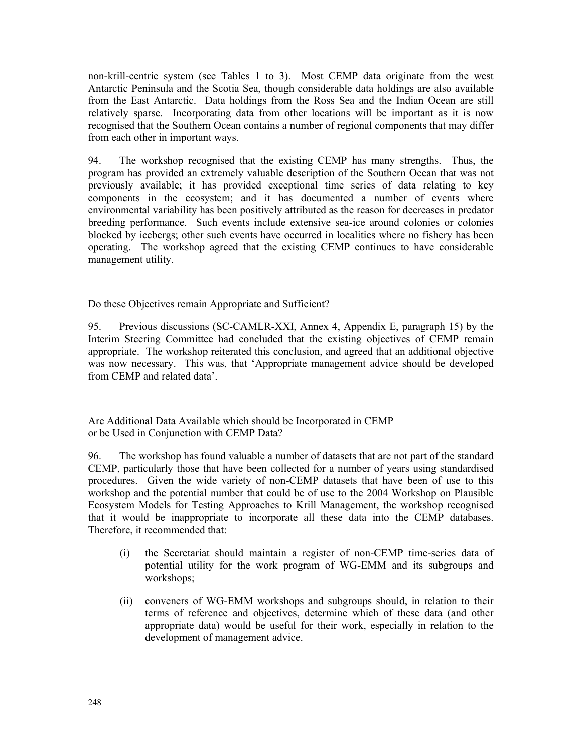non-krill-centric system (see Tables 1 to 3). Most CEMP data originate from the west Antarctic Peninsula and the Scotia Sea, though considerable data holdings are also available from the East Antarctic. Data holdings from the Ross Sea and the Indian Ocean are still relatively sparse. Incorporating data from other locations will be important as it is now recognised that the Southern Ocean contains a number of regional components that may differ from each other in important ways.

94. The workshop recognised that the existing CEMP has many strengths. Thus, the program has provided an extremely valuable description of the Southern Ocean that was not previously available; it has provided exceptional time series of data relating to key components in the ecosystem; and it has documented a number of events where environmental variability has been positively attributed as the reason for decreases in predator breeding performance. Such events include extensive sea-ice around colonies or colonies blocked by icebergs; other such events have occurred in localities where no fishery has been operating. The workshop agreed that the existing CEMP continues to have considerable management utility.

Do these Objectives remain Appropriate and Sufficient?

95. Previous discussions (SC-CAMLR-XXI, Annex 4, Appendix E, paragraph 15) by the Interim Steering Committee had concluded that the existing objectives of CEMP remain appropriate. The workshop reiterated this conclusion, and agreed that an additional objective was now necessary. This was, that 'Appropriate management advice should be developed from CEMP and related data'.

Are Additional Data Available which should be Incorporated in CEMP or be Used in Conjunction with CEMP Data?

96. The workshop has found valuable a number of datasets that are not part of the standard CEMP, particularly those that have been collected for a number of years using standardised procedures. Given the wide variety of non-CEMP datasets that have been of use to this workshop and the potential number that could be of use to the 2004 Workshop on Plausible Ecosystem Models for Testing Approaches to Krill Management, the workshop recognised that it would be inappropriate to incorporate all these data into the CEMP databases. Therefore, it recommended that:

- (i) the Secretariat should maintain a register of non-CEMP time-series data of potential utility for the work program of WG-EMM and its subgroups and workshops;
- (ii) conveners of WG-EMM workshops and subgroups should, in relation to their terms of reference and objectives, determine which of these data (and other appropriate data) would be useful for their work, especially in relation to the development of management advice.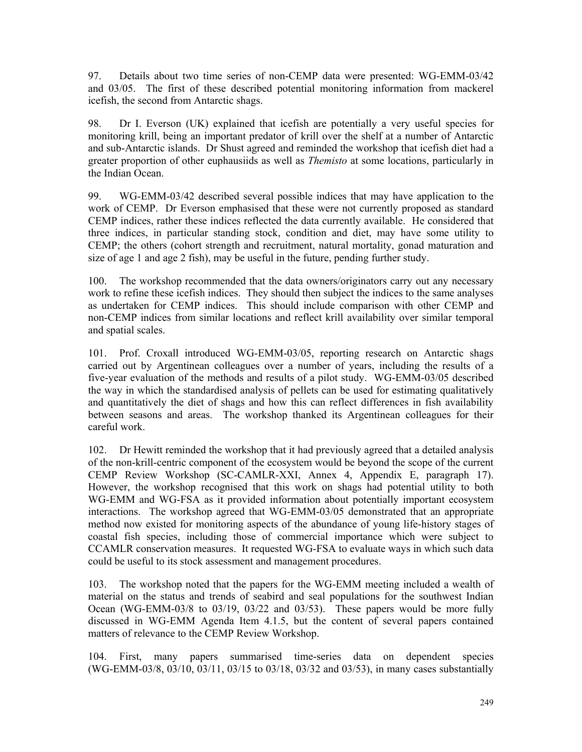97. Details about two time series of non-CEMP data were presented: WG-EMM-03/42 and 03/05. The first of these described potential monitoring information from mackerel icefish, the second from Antarctic shags.

98. Dr I. Everson (UK) explained that icefish are potentially a very useful species for monitoring krill, being an important predator of krill over the shelf at a number of Antarctic and sub-Antarctic islands. Dr Shust agreed and reminded the workshop that icefish diet had a greater proportion of other euphausiids as well as *Themisto* at some locations, particularly in the Indian Ocean.

99. WG-EMM-03/42 described several possible indices that may have application to the work of CEMP. Dr Everson emphasised that these were not currently proposed as standard CEMP indices, rather these indices reflected the data currently available. He considered that three indices, in particular standing stock, condition and diet, may have some utility to CEMP; the others (cohort strength and recruitment, natural mortality, gonad maturation and size of age 1 and age 2 fish), may be useful in the future, pending further study.

100. The workshop recommended that the data owners/originators carry out any necessary work to refine these icefish indices. They should then subject the indices to the same analyses as undertaken for CEMP indices. This should include comparison with other CEMP and non-CEMP indices from similar locations and reflect krill availability over similar temporal and spatial scales.

101. Prof. Croxall introduced WG-EMM-03/05, reporting research on Antarctic shags carried out by Argentinean colleagues over a number of years, including the results of a five-year evaluation of the methods and results of a pilot study. WG-EMM-03/05 described the way in which the standardised analysis of pellets can be used for estimating qualitatively and quantitatively the diet of shags and how this can reflect differences in fish availability between seasons and areas. The workshop thanked its Argentinean colleagues for their careful work.

102. Dr Hewitt reminded the workshop that it had previously agreed that a detailed analysis of the non-krill-centric component of the ecosystem would be beyond the scope of the current CEMP Review Workshop (SC-CAMLR-XXI, Annex 4, Appendix E, paragraph 17). However, the workshop recognised that this work on shags had potential utility to both WG-EMM and WG-FSA as it provided information about potentially important ecosystem interactions. The workshop agreed that WG-EMM-03/05 demonstrated that an appropriate method now existed for monitoring aspects of the abundance of young life-history stages of coastal fish species, including those of commercial importance which were subject to CCAMLR conservation measures. It requested WG-FSA to evaluate ways in which such data could be useful to its stock assessment and management procedures.

103. The workshop noted that the papers for the WG-EMM meeting included a wealth of material on the status and trends of seabird and seal populations for the southwest Indian Ocean (WG-EMM-03/8 to 03/19, 03/22 and 03/53). These papers would be more fully discussed in WG-EMM Agenda Item 4.1.5, but the content of several papers contained matters of relevance to the CEMP Review Workshop.

104. First, many papers summarised time-series data on dependent species (WG-EMM-03/8, 03/10, 03/11, 03/15 to 03/18, 03/32 and 03/53), in many cases substantially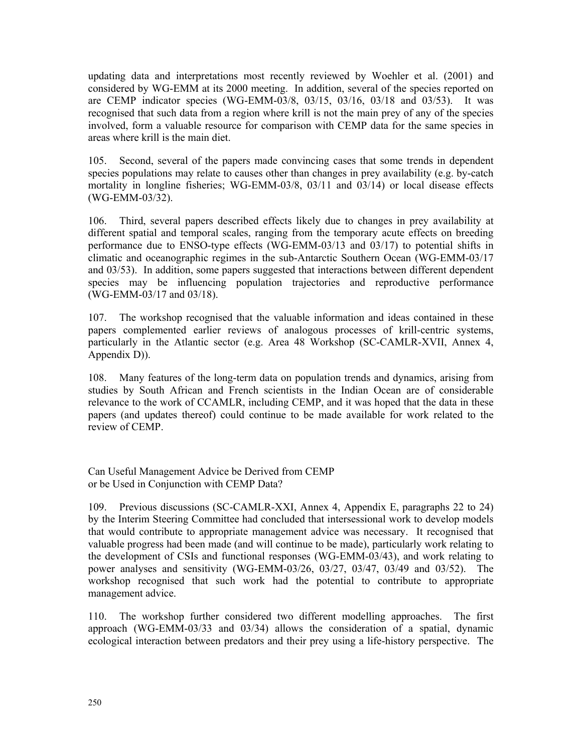updating data and interpretations most recently reviewed by Woehler et al. (2001) and considered by WG-EMM at its 2000 meeting. In addition, several of the species reported on are CEMP indicator species (WG-EMM-03/8, 03/15, 03/16, 03/18 and 03/53). It was recognised that such data from a region where krill is not the main prey of any of the species involved, form a valuable resource for comparison with CEMP data for the same species in areas where krill is the main diet.

105. Second, several of the papers made convincing cases that some trends in dependent species populations may relate to causes other than changes in prey availability (e.g. by-catch mortality in longline fisheries; WG-EMM-03/8, 03/11 and 03/14) or local disease effects (WG-EMM-03/32).

106. Third, several papers described effects likely due to changes in prey availability at different spatial and temporal scales, ranging from the temporary acute effects on breeding performance due to ENSO-type effects (WG-EMM-03/13 and 03/17) to potential shifts in climatic and oceanographic regimes in the sub-Antarctic Southern Ocean (WG-EMM-03/17 and 03/53). In addition, some papers suggested that interactions between different dependent species may be influencing population trajectories and reproductive performance (WG-EMM-03/17 and 03/18).

107. The workshop recognised that the valuable information and ideas contained in these papers complemented earlier reviews of analogous processes of krill-centric systems, particularly in the Atlantic sector (e.g. Area 48 Workshop (SC-CAMLR-XVII, Annex 4, Appendix D)).

108. Many features of the long-term data on population trends and dynamics, arising from studies by South African and French scientists in the Indian Ocean are of considerable relevance to the work of CCAMLR, including CEMP, and it was hoped that the data in these papers (and updates thereof) could continue to be made available for work related to the review of CEMP.

Can Useful Management Advice be Derived from CEMP or be Used in Conjunction with CEMP Data?

109. Previous discussions (SC-CAMLR-XXI, Annex 4, Appendix E, paragraphs 22 to 24) by the Interim Steering Committee had concluded that intersessional work to develop models that would contribute to appropriate management advice was necessary. It recognised that valuable progress had been made (and will continue to be made), particularly work relating to the development of CSIs and functional responses (WG-EMM-03/43), and work relating to power analyses and sensitivity (WG-EMM-03/26, 03/27, 03/47, 03/49 and 03/52). The workshop recognised that such work had the potential to contribute to appropriate management advice.

110. The workshop further considered two different modelling approaches. The first approach (WG-EMM-03/33 and 03/34) allows the consideration of a spatial, dynamic ecological interaction between predators and their prey using a life-history perspective. The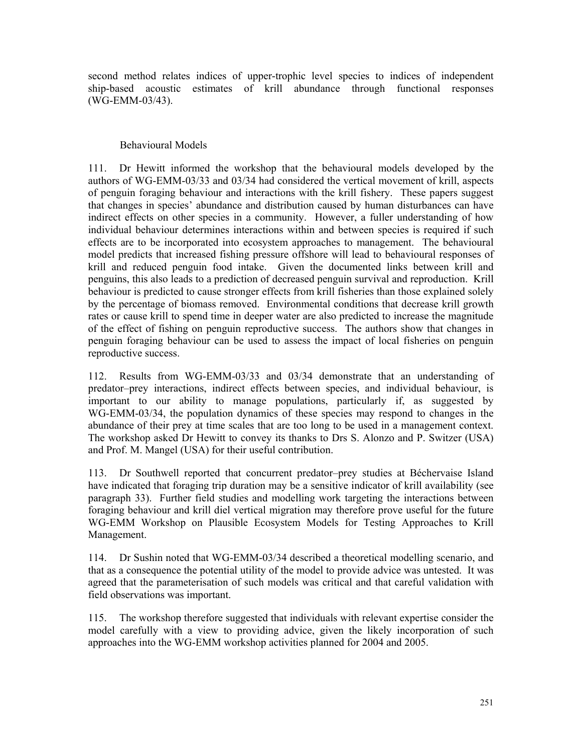second method relates indices of upper-trophic level species to indices of independent ship-based acoustic estimates of krill abundance through functional responses (WG-EMM-03/43).

#### Behavioural Models

111. Dr Hewitt informed the workshop that the behavioural models developed by the authors of WG-EMM-03/33 and 03/34 had considered the vertical movement of krill, aspects of penguin foraging behaviour and interactions with the krill fishery. These papers suggest that changes in species' abundance and distribution caused by human disturbances can have indirect effects on other species in a community. However, a fuller understanding of how individual behaviour determines interactions within and between species is required if such effects are to be incorporated into ecosystem approaches to management. The behavioural model predicts that increased fishing pressure offshore will lead to behavioural responses of krill and reduced penguin food intake. Given the documented links between krill and penguins, this also leads to a prediction of decreased penguin survival and reproduction. Krill behaviour is predicted to cause stronger effects from krill fisheries than those explained solely by the percentage of biomass removed. Environmental conditions that decrease krill growth rates or cause krill to spend time in deeper water are also predicted to increase the magnitude of the effect of fishing on penguin reproductive success. The authors show that changes in penguin foraging behaviour can be used to assess the impact of local fisheries on penguin reproductive success.

112. Results from WG-EMM-03/33 and 03/34 demonstrate that an understanding of predator–prey interactions, indirect effects between species, and individual behaviour, is important to our ability to manage populations, particularly if, as suggested by WG-EMM-03/34, the population dynamics of these species may respond to changes in the abundance of their prey at time scales that are too long to be used in a management context. The workshop asked Dr Hewitt to convey its thanks to Drs S. Alonzo and P. Switzer (USA) and Prof. M. Mangel (USA) for their useful contribution.

113. Dr Southwell reported that concurrent predator–prey studies at Béchervaise Island have indicated that foraging trip duration may be a sensitive indicator of krill availability (see paragraph 33). Further field studies and modelling work targeting the interactions between foraging behaviour and krill diel vertical migration may therefore prove useful for the future WG-EMM Workshop on Plausible Ecosystem Models for Testing Approaches to Krill Management.

114. Dr Sushin noted that WG-EMM-03/34 described a theoretical modelling scenario, and that as a consequence the potential utility of the model to provide advice was untested. It was agreed that the parameterisation of such models was critical and that careful validation with field observations was important.

115. The workshop therefore suggested that individuals with relevant expertise consider the model carefully with a view to providing advice, given the likely incorporation of such approaches into the WG-EMM workshop activities planned for 2004 and 2005.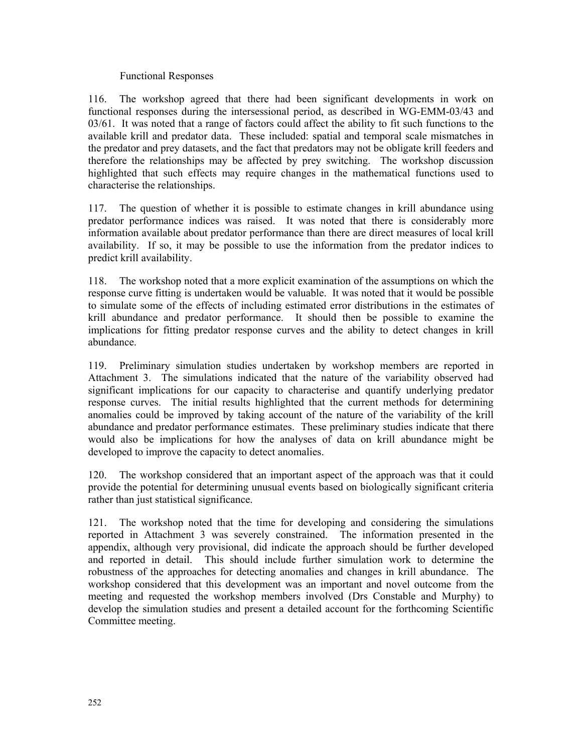# Functional Responses

116. The workshop agreed that there had been significant developments in work on functional responses during the intersessional period, as described in WG-EMM-03/43 and 03/61. It was noted that a range of factors could affect the ability to fit such functions to the available krill and predator data. These included: spatial and temporal scale mismatches in the predator and prey datasets, and the fact that predators may not be obligate krill feeders and therefore the relationships may be affected by prey switching. The workshop discussion highlighted that such effects may require changes in the mathematical functions used to characterise the relationships.

117. The question of whether it is possible to estimate changes in krill abundance using predator performance indices was raised. It was noted that there is considerably more information available about predator performance than there are direct measures of local krill availability. If so, it may be possible to use the information from the predator indices to predict krill availability.

118. The workshop noted that a more explicit examination of the assumptions on which the response curve fitting is undertaken would be valuable. It was noted that it would be possible to simulate some of the effects of including estimated error distributions in the estimates of krill abundance and predator performance. It should then be possible to examine the implications for fitting predator response curves and the ability to detect changes in krill abundance.

119. Preliminary simulation studies undertaken by workshop members are reported in Attachment 3. The simulations indicated that the nature of the variability observed had significant implications for our capacity to characterise and quantify underlying predator response curves. The initial results highlighted that the current methods for determining anomalies could be improved by taking account of the nature of the variability of the krill abundance and predator performance estimates. These preliminary studies indicate that there would also be implications for how the analyses of data on krill abundance might be developed to improve the capacity to detect anomalies.

120. The workshop considered that an important aspect of the approach was that it could provide the potential for determining unusual events based on biologically significant criteria rather than just statistical significance.

121. The workshop noted that the time for developing and considering the simulations reported in Attachment 3 was severely constrained. The information presented in the appendix, although very provisional, did indicate the approach should be further developed and reported in detail. This should include further simulation work to determine the robustness of the approaches for detecting anomalies and changes in krill abundance. The workshop considered that this development was an important and novel outcome from the meeting and requested the workshop members involved (Drs Constable and Murphy) to develop the simulation studies and present a detailed account for the forthcoming Scientific Committee meeting.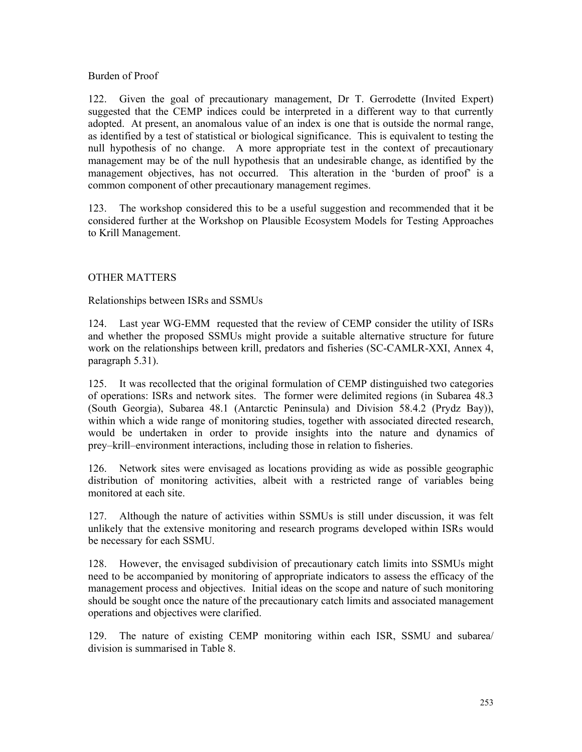# Burden of Proof

122. Given the goal of precautionary management, Dr T. Gerrodette (Invited Expert) suggested that the CEMP indices could be interpreted in a different way to that currently adopted. At present, an anomalous value of an index is one that is outside the normal range, as identified by a test of statistical or biological significance. This is equivalent to testing the null hypothesis of no change. A more appropriate test in the context of precautionary management may be of the null hypothesis that an undesirable change, as identified by the management objectives, has not occurred. This alteration in the 'burden of proof' is a common component of other precautionary management regimes.

123. The workshop considered this to be a useful suggestion and recommended that it be considered further at the Workshop on Plausible Ecosystem Models for Testing Approaches to Krill Management.

# OTHER MATTERS

# Relationships between ISRs and SSMUs

124. Last year WG-EMM requested that the review of CEMP consider the utility of ISRs and whether the proposed SSMUs might provide a suitable alternative structure for future work on the relationships between krill, predators and fisheries (SC-CAMLR-XXI, Annex 4, paragraph 5.31).

125. It was recollected that the original formulation of CEMP distinguished two categories of operations: ISRs and network sites. The former were delimited regions (in Subarea 48.3 (South Georgia), Subarea 48.1 (Antarctic Peninsula) and Division 58.4.2 (Prydz Bay)), within which a wide range of monitoring studies, together with associated directed research, would be undertaken in order to provide insights into the nature and dynamics of prey–krill–environment interactions, including those in relation to fisheries.

126. Network sites were envisaged as locations providing as wide as possible geographic distribution of monitoring activities, albeit with a restricted range of variables being monitored at each site.

127. Although the nature of activities within SSMUs is still under discussion, it was felt unlikely that the extensive monitoring and research programs developed within ISRs would be necessary for each SSMU.

128. However, the envisaged subdivision of precautionary catch limits into SSMUs might need to be accompanied by monitoring of appropriate indicators to assess the efficacy of the management process and objectives. Initial ideas on the scope and nature of such monitoring should be sought once the nature of the precautionary catch limits and associated management operations and objectives were clarified.

129. The nature of existing CEMP monitoring within each ISR, SSMU and subarea/ division is summarised in Table 8.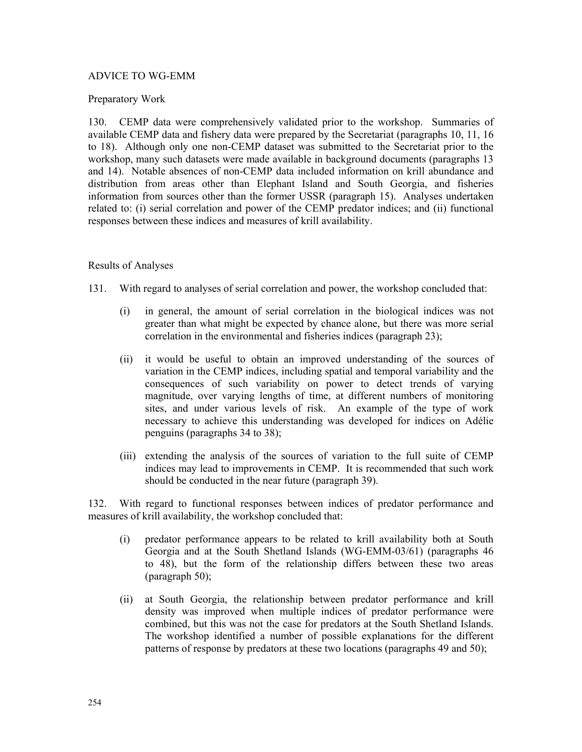# ADVICE TO WG-EMM

### Preparatory Work

130. CEMP data were comprehensively validated prior to the workshop. Summaries of available CEMP data and fishery data were prepared by the Secretariat (paragraphs 10, 11, 16 to 18). Although only one non-CEMP dataset was submitted to the Secretariat prior to the workshop, many such datasets were made available in background documents (paragraphs 13 and 14). Notable absences of non-CEMP data included information on krill abundance and distribution from areas other than Elephant Island and South Georgia, and fisheries information from sources other than the former USSR (paragraph 15). Analyses undertaken related to: (i) serial correlation and power of the CEMP predator indices; and (ii) functional responses between these indices and measures of krill availability.

# Results of Analyses

- 131. With regard to analyses of serial correlation and power, the workshop concluded that:
	- (i) in general, the amount of serial correlation in the biological indices was not greater than what might be expected by chance alone, but there was more serial correlation in the environmental and fisheries indices (paragraph 23);
	- (ii) it would be useful to obtain an improved understanding of the sources of variation in the CEMP indices, including spatial and temporal variability and the consequences of such variability on power to detect trends of varying magnitude, over varying lengths of time, at different numbers of monitoring sites, and under various levels of risk. An example of the type of work necessary to achieve this understanding was developed for indices on Adélie penguins (paragraphs 34 to 38);
	- (iii) extending the analysis of the sources of variation to the full suite of CEMP indices may lead to improvements in CEMP. It is recommended that such work should be conducted in the near future (paragraph 39).

132. With regard to functional responses between indices of predator performance and measures of krill availability, the workshop concluded that:

- (i) predator performance appears to be related to krill availability both at South Georgia and at the South Shetland Islands (WG-EMM-03/61) (paragraphs 46 to 48), but the form of the relationship differs between these two areas (paragraph 50);
- (ii) at South Georgia, the relationship between predator performance and krill density was improved when multiple indices of predator performance were combined, but this was not the case for predators at the South Shetland Islands. The workshop identified a number of possible explanations for the different patterns of response by predators at these two locations (paragraphs 49 and 50);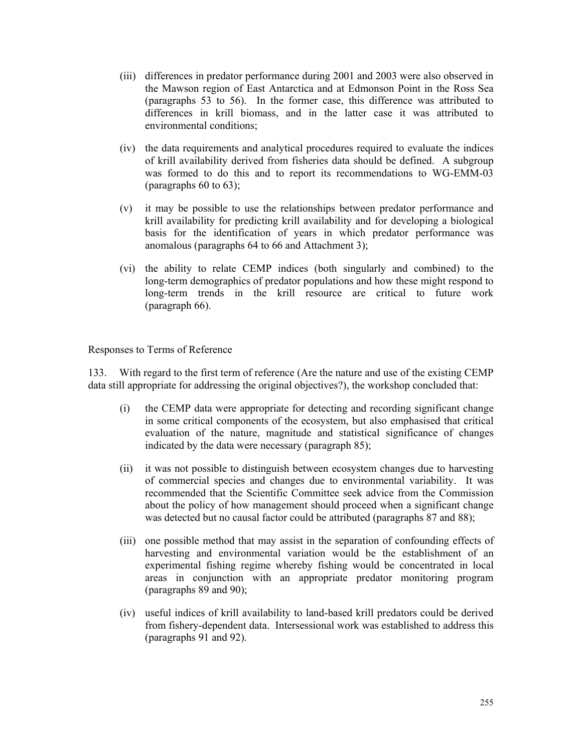- (iii) differences in predator performance during 2001 and 2003 were also observed in the Mawson region of East Antarctica and at Edmonson Point in the Ross Sea (paragraphs 53 to 56). In the former case, this difference was attributed to differences in krill biomass, and in the latter case it was attributed to environmental conditions;
- (iv) the data requirements and analytical procedures required to evaluate the indices of krill availability derived from fisheries data should be defined. A subgroup was formed to do this and to report its recommendations to WG-EMM-03 (paragraphs 60 to 63);
- (v) it may be possible to use the relationships between predator performance and krill availability for predicting krill availability and for developing a biological basis for the identification of years in which predator performance was anomalous (paragraphs 64 to 66 and Attachment 3);
- (vi) the ability to relate CEMP indices (both singularly and combined) to the long-term demographics of predator populations and how these might respond to long-term trends in the krill resource are critical to future work (paragraph 66).

Responses to Terms of Reference

133. With regard to the first term of reference (Are the nature and use of the existing CEMP data still appropriate for addressing the original objectives?), the workshop concluded that:

- (i) the CEMP data were appropriate for detecting and recording significant change in some critical components of the ecosystem, but also emphasised that critical evaluation of the nature, magnitude and statistical significance of changes indicated by the data were necessary (paragraph 85);
- (ii) it was not possible to distinguish between ecosystem changes due to harvesting of commercial species and changes due to environmental variability. It was recommended that the Scientific Committee seek advice from the Commission about the policy of how management should proceed when a significant change was detected but no causal factor could be attributed (paragraphs 87 and 88);
- (iii) one possible method that may assist in the separation of confounding effects of harvesting and environmental variation would be the establishment of an experimental fishing regime whereby fishing would be concentrated in local areas in conjunction with an appropriate predator monitoring program (paragraphs 89 and 90);
- (iv) useful indices of krill availability to land-based krill predators could be derived from fishery-dependent data. Intersessional work was established to address this (paragraphs 91 and 92).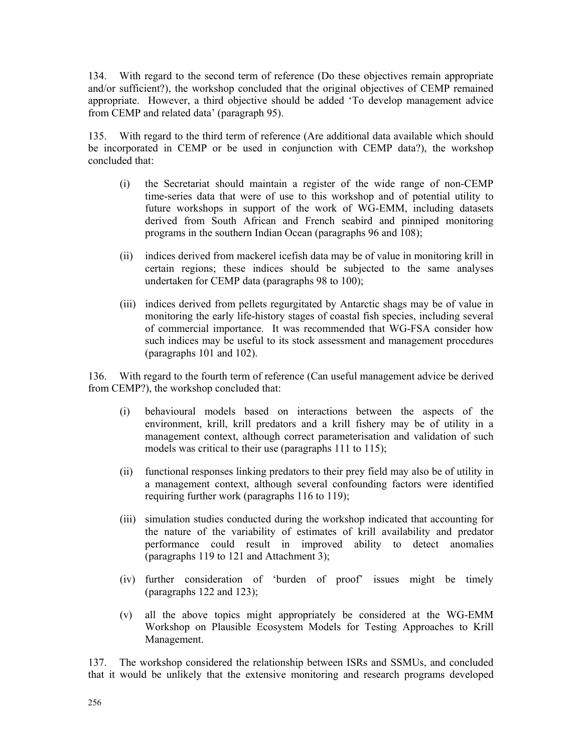134. With regard to the second term of reference (Do these objectives remain appropriate and/or sufficient?), the workshop concluded that the original objectives of CEMP remained appropriate. However, a third objective should be added 'To develop management advice from CEMP and related data' (paragraph 95).

135. With regard to the third term of reference (Are additional data available which should be incorporated in CEMP or be used in conjunction with CEMP data?), the workshop concluded that:

- (i) the Secretariat should maintain a register of the wide range of non-CEMP time-series data that were of use to this workshop and of potential utility to future workshops in support of the work of WG-EMM, including datasets derived from South African and French seabird and pinniped monitoring programs in the southern Indian Ocean (paragraphs 96 and 108);
- (ii) indices derived from mackerel icefish data may be of value in monitoring krill in certain regions; these indices should be subjected to the same analyses undertaken for CEMP data (paragraphs 98 to 100);
- (iii) indices derived from pellets regurgitated by Antarctic shags may be of value in monitoring the early life-history stages of coastal fish species, including several of commercial importance. It was recommended that WG-FSA consider how such indices may be useful to its stock assessment and management procedures (paragraphs 101 and 102).

136. With regard to the fourth term of reference (Can useful management advice be derived from CEMP?), the workshop concluded that:

- (i) behavioural models based on interactions between the aspects of the environment, krill, krill predators and a krill fishery may be of utility in a management context, although correct parameterisation and validation of such models was critical to their use (paragraphs 111 to 115);
- (ii) functional responses linking predators to their prey field may also be of utility in a management context, although several confounding factors were identified requiring further work (paragraphs 116 to 119);
- (iii) simulation studies conducted during the workshop indicated that accounting for the nature of the variability of estimates of krill availability and predator performance could result in improved ability to detect anomalies (paragraphs 119 to 121 and Attachment 3);
- (iv) further consideration of 'burden of proof' issues might be timely (paragraphs 122 and 123);
- (v) all the above topics might appropriately be considered at the WG-EMM Workshop on Plausible Ecosystem Models for Testing Approaches to Krill Management.

137. The workshop considered the relationship between ISRs and SSMUs, and concluded that it would be unlikely that the extensive monitoring and research programs developed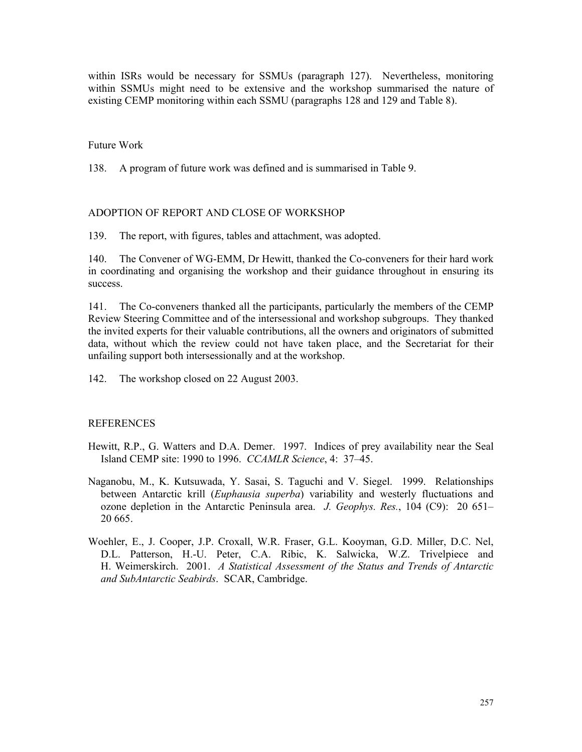within ISRs would be necessary for SSMUs (paragraph 127). Nevertheless, monitoring within SSMUs might need to be extensive and the workshop summarised the nature of existing CEMP monitoring within each SSMU (paragraphs 128 and 129 and Table 8).

#### Future Work

138. A program of future work was defined and is summarised in Table 9.

#### ADOPTION OF REPORT AND CLOSE OF WORKSHOP

139. The report, with figures, tables and attachment, was adopted.

140. The Convener of WG-EMM, Dr Hewitt, thanked the Co-conveners for their hard work in coordinating and organising the workshop and their guidance throughout in ensuring its success.

141. The Co-conveners thanked all the participants, particularly the members of the CEMP Review Steering Committee and of the intersessional and workshop subgroups. They thanked the invited experts for their valuable contributions, all the owners and originators of submitted data, without which the review could not have taken place, and the Secretariat for their unfailing support both intersessionally and at the workshop.

142. The workshop closed on 22 August 2003.

#### REFERENCES

- Hewitt, R.P., G. Watters and D.A. Demer. 1997. Indices of prey availability near the Seal Island CEMP site: 1990 to 1996. *CCAMLR Science*, 4: 37–45.
- Naganobu, M., K. Kutsuwada, Y. Sasai, S. Taguchi and V. Siegel. 1999. Relationships between Antarctic krill (*Euphausia superba*) variability and westerly fluctuations and ozone depletion in the Antarctic Peninsula area. *J. Geophys. Res.*, 104 (C9): 20 651– 20 665.
- Woehler, E., J. Cooper, J.P. Croxall, W.R. Fraser, G.L. Kooyman, G.D. Miller, D.C. Nel, D.L. Patterson, H.-U. Peter, C.A. Ribic, K. Salwicka, W.Z. Trivelpiece and H. Weimerskirch. 2001. *A Statistical Assessment of the Status and Trends of Antarctic and SubAntarctic Seabirds*. SCAR, Cambridge.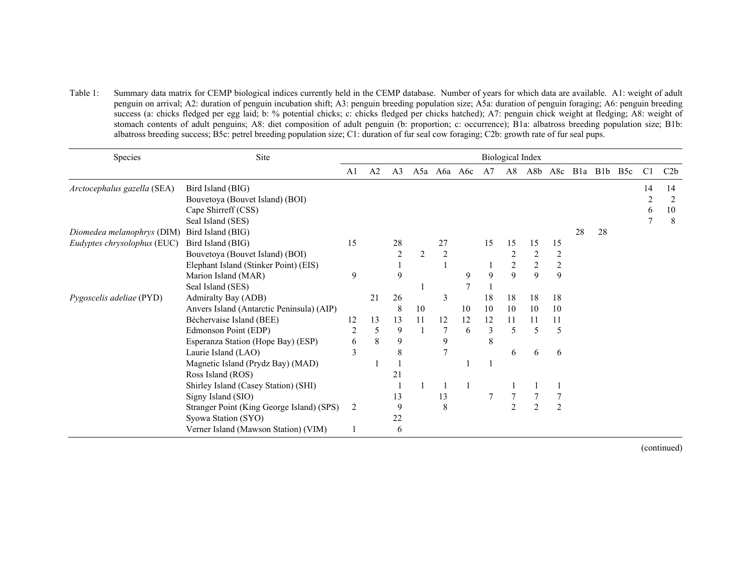Table 1: Summary data matrix for CEMP biological indices currently held in the CEMP database. Number of years for which data are available. A1: weight of adult penguin on arrival; A2: duration of penguin incubation shift; A3: penguin breeding population size; A5a: duration of penguin foraging; A6: penguin breeding success (a: chicks fledged per egg laid; b: % potential chicks; c: chicks fledged per chicks hatched); A7: penguin chick weight at fledging; A8: weight of stomach contents of adult penguins; A8: diet composition of adult penguin (b: proportion; c: occurrence); B1a: albatross breeding population size; B1b: albatross breeding success; B5c: petrel breeding population size; C1: duration of fur seal cow foraging; C2b: growth rate of fur seal pups.

| Species                     | Site                                      | <b>Biological Index</b> |    |                |    |             |    |    |                |                |                |    |         |                  |                |     |
|-----------------------------|-------------------------------------------|-------------------------|----|----------------|----|-------------|----|----|----------------|----------------|----------------|----|---------|------------------|----------------|-----|
|                             |                                           | A <sub>1</sub>          | A2 | A <sub>3</sub> |    | A5a A6a A6c |    | A7 | A8             | A8b            | A8c            |    | Bla Blb | B <sub>5</sub> c | C <sub>1</sub> | C2b |
| Arctocephalus gazella (SEA) | Bird Island (BIG)                         |                         |    |                |    |             |    |    |                |                |                |    |         |                  | 14             | 14  |
|                             | Bouvetoya (Bouvet Island) (BOI)           |                         |    |                |    |             |    |    |                |                |                |    |         |                  | 2              | 2   |
|                             | Cape Shirreff (CSS)                       |                         |    |                |    |             |    |    |                |                |                |    |         |                  | 6              | 10  |
|                             | Seal Island (SES)                         |                         |    |                |    |             |    |    |                |                |                |    |         |                  | 7              | 8   |
| Diomedea melanophrys (DIM)  | Bird Island (BIG)                         |                         |    |                |    |             |    |    |                |                |                | 28 | 28      |                  |                |     |
| Eudyptes chrysolophus (EUC) | Bird Island (BIG)                         | 15                      |    | 28             |    | 27          |    | 15 | 15             | 15             | 15             |    |         |                  |                |     |
|                             | Bouvetoya (Bouvet Island) (BOI)           |                         |    | $\overline{2}$ | 2  | 2           |    |    |                | 2              | 2              |    |         |                  |                |     |
|                             | Elephant Island (Stinker Point) (EIS)     |                         |    |                |    |             |    |    | $\overline{c}$ | $\overline{c}$ | $\overline{c}$ |    |         |                  |                |     |
|                             | Marion Island (MAR)                       | 9                       |    | 9              |    |             | 9  | 9  | 9              | 9              | 9              |    |         |                  |                |     |
|                             | Seal Island (SES)                         |                         |    |                |    |             | 7  |    |                |                |                |    |         |                  |                |     |
| Pygoscelis adeliae (PYD)    | Admiralty Bay (ADB)                       |                         | 21 | 26             |    | 3           |    | 18 | 18             | 18             | 18             |    |         |                  |                |     |
|                             | Anvers Island (Antarctic Peninsula) (AIP) |                         |    | 8              | 10 |             | 10 | 10 | 10             | 10             | 10             |    |         |                  |                |     |
|                             | Béchervaise Island (BEE)                  | 12                      | 13 | 13             | 11 | 12          | 12 | 12 | 11             | 11             | 11             |    |         |                  |                |     |
|                             | Edmonson Point (EDP)                      | $\overline{2}$          | 5  | 9              |    |             | 6  | 3  | 5              | 5              | 5              |    |         |                  |                |     |
|                             | Esperanza Station (Hope Bay) (ESP)        | 6                       | 8  | 9              |    | 9           |    | 8  |                |                |                |    |         |                  |                |     |
|                             | Laurie Island (LAO)                       | 3                       |    | 8              |    |             |    |    | 6              | 6              | 6              |    |         |                  |                |     |
|                             | Magnetic Island (Prydz Bay) (MAD)         |                         |    |                |    |             |    |    |                |                |                |    |         |                  |                |     |
|                             | Ross Island (ROS)                         |                         |    | 21             |    |             |    |    |                |                |                |    |         |                  |                |     |
|                             | Shirley Island (Casey Station) (SHI)      |                         |    |                |    |             |    |    |                |                |                |    |         |                  |                |     |
|                             | Signy Island (SIO)                        |                         |    | 13             |    | 13          |    |    |                |                |                |    |         |                  |                |     |
|                             | Stranger Point (King George Island) (SPS) | $\overline{2}$          |    | 9              |    | 8           |    |    | $\overline{2}$ | 2              | $\overline{2}$ |    |         |                  |                |     |
|                             | Syowa Station (SYO)                       |                         |    | 22             |    |             |    |    |                |                |                |    |         |                  |                |     |
|                             | Verner Island (Mawson Station) (VIM)      |                         |    | 6              |    |             |    |    |                |                |                |    |         |                  |                |     |

(continued)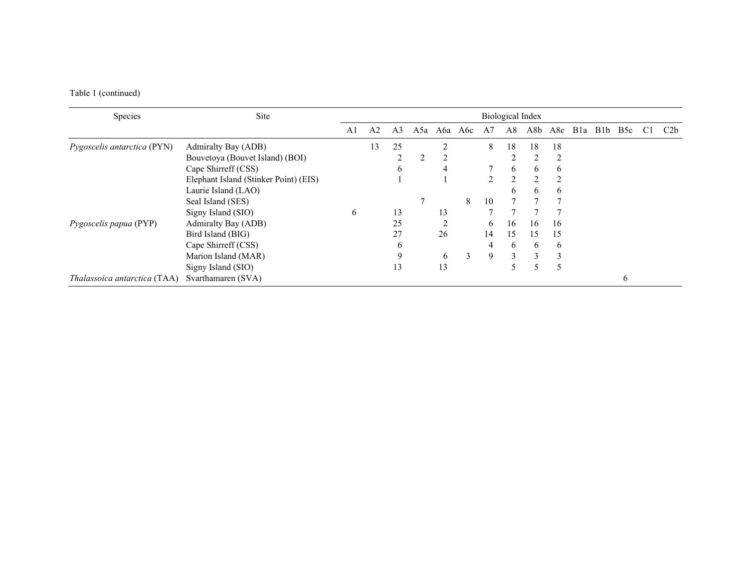# Table 1 (continued)

| Species                             | Site                                  | <b>Biological Index</b> |                |    |     |                |         |    |               |                |                |         |  |                  |    |     |
|-------------------------------------|---------------------------------------|-------------------------|----------------|----|-----|----------------|---------|----|---------------|----------------|----------------|---------|--|------------------|----|-----|
|                                     |                                       | A1                      | A <sub>2</sub> | A3 | A5a |                | Аба Абс | A7 | A8            | A8b            | A8c            | Bla Blb |  | B <sub>5</sub> c | C1 | C2b |
| Pygoscelis antarctica (PYN)         | Admiralty Bay (ADB)                   |                         | 13             | 25 |     | $\mathfrak{D}$ |         | 8  | 18            | 18             | 18             |         |  |                  |    |     |
|                                     | Bouvetoya (Bouvet Island) (BOI)       |                         |                |    |     |                |         |    |               |                | 2              |         |  |                  |    |     |
|                                     | Cape Shirreff (CSS)                   |                         |                | 6  |     | 4              |         |    | 6             | 6              | 6              |         |  |                  |    |     |
|                                     | Elephant Island (Stinker Point) (EIS) |                         |                |    |     |                |         |    | $\mathcal{D}$ | $\mathfrak{D}$ | $\overline{2}$ |         |  |                  |    |     |
|                                     | Laurie Island (LAO)                   |                         |                |    |     |                |         |    | h.            | 6              | 6              |         |  |                  |    |     |
|                                     | Seal Island (SES)                     |                         |                |    |     |                | 8       | 10 |               |                |                |         |  |                  |    |     |
|                                     | Signy Island (SIO)                    | 6                       |                | 13 |     | 13             |         |    |               |                |                |         |  |                  |    |     |
| Pygoscelis papua (PYP)              | Admiralty Bay (ADB)                   |                         |                | 25 |     |                |         | 6  | 16            | 16             | 16             |         |  |                  |    |     |
|                                     | Bird Island (BIG)                     |                         |                | 27 |     | 26             |         | 14 | 15            | 15             | 15             |         |  |                  |    |     |
|                                     | Cape Shirreff (CSS)                   |                         |                | O  |     |                |         | 4  | 6             | 6              | 6              |         |  |                  |    |     |
|                                     | Marion Island (MAR)                   |                         |                | 9  |     | 6              | 3       | 9  | 3             | 3              | 3              |         |  |                  |    |     |
|                                     | Signy Island (SIO)                    |                         |                | 13 |     | 13             |         |    |               | $\Delta$       | 5              |         |  |                  |    |     |
| <i>Thalassoica antarctica</i> (TAA) | Svarthamaren (SVA)                    |                         |                |    |     |                |         |    |               |                |                |         |  | 6                |    |     |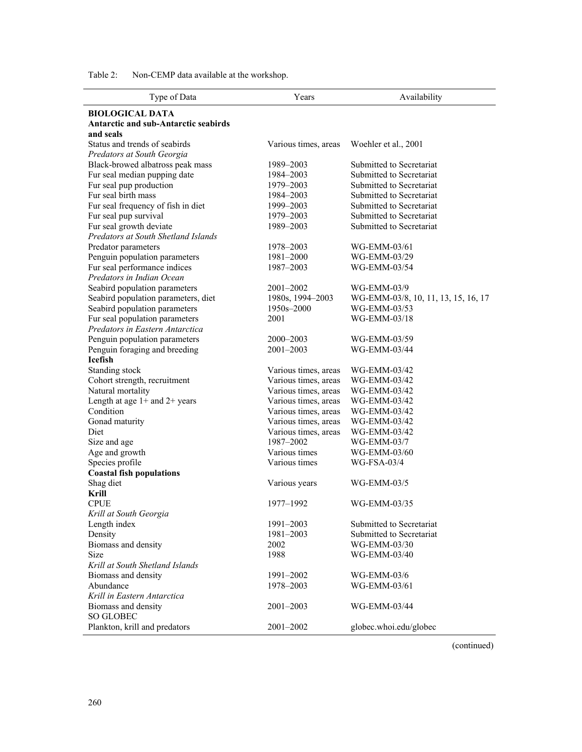| Type of Data                                | Years                             | Availability                        |
|---------------------------------------------|-----------------------------------|-------------------------------------|
| <b>BIOLOGICAL DATA</b>                      |                                   |                                     |
| <b>Antarctic and sub-Antarctic seabirds</b> |                                   |                                     |
| and seals                                   |                                   |                                     |
| Status and trends of seabirds               | Various times, areas              | Woehler et al., 2001                |
| Predators at South Georgia                  |                                   |                                     |
| Black-browed albatross peak mass            | 1989-2003                         | Submitted to Secretariat            |
| Fur seal median pupping date                | 1984-2003                         | Submitted to Secretariat            |
| Fur seal pup production                     | 1979–2003                         | Submitted to Secretariat            |
| Fur seal birth mass                         | 1984-2003                         | Submitted to Secretariat            |
| Fur seal frequency of fish in diet          | 1999-2003                         | Submitted to Secretariat            |
| Fur seal pup survival                       | 1979-2003                         | Submitted to Secretariat            |
| Fur seal growth deviate                     | 1989-2003                         | Submitted to Secretariat            |
| Predators at South Shetland Islands         |                                   |                                     |
| Predator parameters                         | 1978-2003                         | WG-EMM-03/61                        |
| Penguin population parameters               | 1981-2000                         | WG-EMM-03/29                        |
| Fur seal performance indices                | 1987-2003                         | WG-EMM-03/54                        |
| Predators in Indian Ocean                   |                                   |                                     |
| Seabird population parameters               | 2001-2002                         | WG-EMM-03/9                         |
| Seabird population parameters, diet         | 1980s, 1994-2003                  | WG-EMM-03/8, 10, 11, 13, 15, 16, 17 |
| Seabird population parameters               | 1950s-2000                        | WG-EMM-03/53                        |
| Fur seal population parameters              | 2001                              | WG-EMM-03/18                        |
| Predators in Eastern Antarctica             |                                   |                                     |
| Penguin population parameters               | 2000-2003                         | WG-EMM-03/59                        |
| Penguin foraging and breeding               | 2001-2003                         | WG-EMM-03/44                        |
| <b>Icefish</b>                              |                                   |                                     |
| Standing stock                              | Various times, areas              | WG-EMM-03/42                        |
| Cohort strength, recruitment                | Various times, areas              | WG-EMM-03/42                        |
| Natural mortality                           | Various times, areas              | WG-EMM-03/42                        |
| Length at age $1+$ and $2+$ years           | Various times, areas              | WG-EMM-03/42                        |
| Condition                                   | Various times, areas              | WG-EMM-03/42                        |
| Gonad maturity<br>Diet                      | Various times, areas              | WG-EMM-03/42                        |
|                                             | Various times, areas<br>1987-2002 | WG-EMM-03/42                        |
| Size and age                                | Various times                     | WG-EMM-03/7                         |
| Age and growth<br>Species profile           | Various times                     | WG-EMM-03/60<br>$WG-FSA-03/4$       |
| <b>Coastal fish populations</b>             |                                   |                                     |
| Shag diet                                   | Various years                     | WG-EMM-03/5                         |
| Krill                                       |                                   |                                     |
| <b>CPUE</b>                                 | 1977–1992                         | WG-EMM-03/35                        |
| Krill at South Georgia                      |                                   |                                     |
| Length index                                | 1991-2003                         | Submitted to Secretariat            |
| Density                                     | 1981-2003                         | Submitted to Secretariat            |
| Biomass and density                         | 2002                              | WG-EMM-03/30                        |
| Size                                        | 1988                              | WG-EMM-03/40                        |
| Krill at South Shetland Islands             |                                   |                                     |
| Biomass and density                         | 1991-2002                         | WG-EMM-03/6                         |
| Abundance                                   | 1978-2003                         | WG-EMM-03/61                        |
| Krill in Eastern Antarctica                 |                                   |                                     |
| Biomass and density                         | 2001-2003                         | WG-EMM-03/44                        |
| SO GLOBEC                                   |                                   |                                     |
| Plankton, krill and predators               | 2001-2002                         | globec.whoi.edu/globec              |

Table 2: Non-CEMP data available at the workshop.

(continued)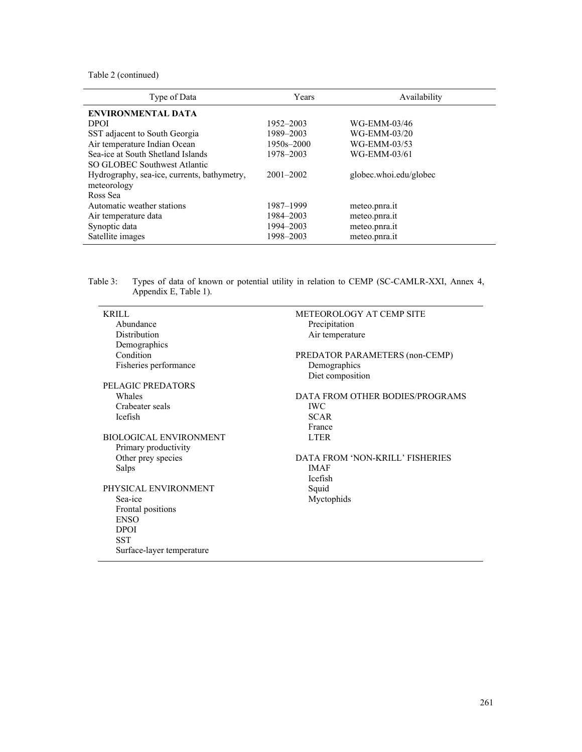Table 2 (continued)

| Type of Data                                | Years         | Availability           |
|---------------------------------------------|---------------|------------------------|
| <b>ENVIRONMENTAL DATA</b>                   |               |                        |
| <b>DPOI</b>                                 | 1952–2003     | WG-EMM-03/46           |
| SST adjacent to South Georgia               | 1989-2003     | WG-EMM-03/20           |
| Air temperature Indian Ocean                | 1950s-2000    | WG-EMM-03/53           |
| Sea-ice at South Shetland Islands           | 1978-2003     | WG-EMM-03/61           |
| SO GLOBEC Southwest Atlantic                |               |                        |
| Hydrography, sea-ice, currents, bathymetry, | $2001 - 2002$ | globec.whoi.edu/globec |
| meteorology                                 |               |                        |
| Ross Sea                                    |               |                        |
| Automatic weather stations                  | 1987–1999     | meteo.pnra.it          |
| Air temperature data                        | 1984–2003     | meteo.pnra.it          |
| Synoptic data                               | 1994-2003     | meteo.pnra.it          |
| Satellite images                            | 1998-2003     | meteo.pnra.it          |

Table 3: Types of data of known or potential utility in relation to CEMP (SC-CAMLR-XXI, Annex 4, Appendix E, Table 1).

| <b>KRILL</b>                  | METEOROLOGY AT CEMP SITE        |
|-------------------------------|---------------------------------|
| Abundance                     | Precipitation                   |
| Distribution                  | Air temperature                 |
| Demographics                  |                                 |
| Condition                     | PREDATOR PARAMETERS (non-CEMP)  |
| Fisheries performance         | Demographics                    |
|                               | Diet composition                |
| PELAGIC PREDATORS             |                                 |
| Whales                        | DATA FROM OTHER BODIES/PROGRAMS |
| Crabeater seals               | <b>IWC</b>                      |
| <b>Icefish</b>                | <b>SCAR</b>                     |
|                               | France                          |
| <b>BIOLOGICAL ENVIRONMENT</b> | <b>LTER</b>                     |
| Primary productivity          |                                 |
| Other prey species            | DATA FROM 'NON-KRILL' FISHERIES |
| Salps                         | <b>IMAF</b>                     |
|                               | <b>Icefish</b>                  |
| PHYSICAL ENVIRONMENT          | Squid                           |
| Sea-ice                       | Myctophids                      |
| Frontal positions             |                                 |
| <b>ENSO</b>                   |                                 |
| <b>DPOI</b>                   |                                 |
| <b>SST</b>                    |                                 |
| Surface-layer temperature     |                                 |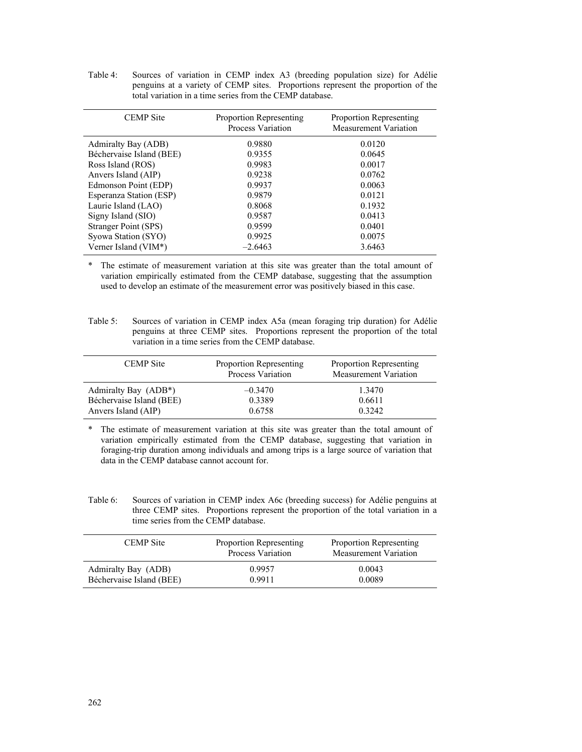Table 4: Sources of variation in CEMP index A3 (breeding population size) for Adélie penguins at a variety of CEMP sites. Proportions represent the proportion of the total variation in a time series from the CEMP database.

| <b>CEMP</b> Site         | <b>Proportion Representing</b><br>Process Variation | <b>Proportion Representing</b><br><b>Measurement Variation</b> |
|--------------------------|-----------------------------------------------------|----------------------------------------------------------------|
| Admiralty Bay (ADB)      | 0.9880                                              | 0.0120                                                         |
| Béchervaise Island (BEE) | 0.9355                                              | 0.0645                                                         |
| Ross Island (ROS)        | 0.9983                                              | 0.0017                                                         |
| Anvers Island (AIP)      | 0.9238                                              | 0.0762                                                         |
| Edmonson Point (EDP)     | 0.9937                                              | 0.0063                                                         |
| Esperanza Station (ESP)  | 0.9879                                              | 0.0121                                                         |
| Laurie Island (LAO)      | 0.8068                                              | 0.1932                                                         |
| Signy Island (SIO)       | 0.9587                                              | 0.0413                                                         |
| Stranger Point (SPS)     | 0.9599                                              | 0.0401                                                         |
| Syowa Station (SYO)      | 0.9925                                              | 0.0075                                                         |
| Verner Island (VIM*)     | $-2.6463$                                           | 3.6463                                                         |

\* The estimate of measurement variation at this site was greater than the total amount of variation empirically estimated from the CEMP database, suggesting that the assumption used to develop an estimate of the measurement error was positively biased in this case.

Table 5: Sources of variation in CEMP index A5a (mean foraging trip duration) for Adélie penguins at three CEMP sites. Proportions represent the proportion of the total variation in a time series from the CEMP database.

| <b>CEMP</b> Site         | <b>Proportion Representing</b><br><b>Process Variation</b> | Proportion Representing<br><b>Measurement Variation</b> |
|--------------------------|------------------------------------------------------------|---------------------------------------------------------|
| Admiralty Bay (ADB*)     | $-0.3470$                                                  | 1.3470                                                  |
| Béchervaise Island (BEE) | 0.3389                                                     | 0.6611                                                  |
| Anvers Island (AIP)      | 0.6758                                                     | 0.3242                                                  |

\* The estimate of measurement variation at this site was greater than the total amount of variation empirically estimated from the CEMP database, suggesting that variation in foraging-trip duration among individuals and among trips is a large source of variation that data in the CEMP database cannot account for.

Table 6: Sources of variation in CEMP index A6c (breeding success) for Adélie penguins at three CEMP sites. Proportions represent the proportion of the total variation in a time series from the CEMP database.

| <b>CEMP</b> Site         | Proportion Representing<br>Process Variation | Proportion Representing<br><b>Measurement Variation</b> |
|--------------------------|----------------------------------------------|---------------------------------------------------------|
| Admiralty Bay (ADB)      | 0.9957                                       | 0.0043                                                  |
| Béchervaise Island (BEE) | 0.9911                                       | 0.0089                                                  |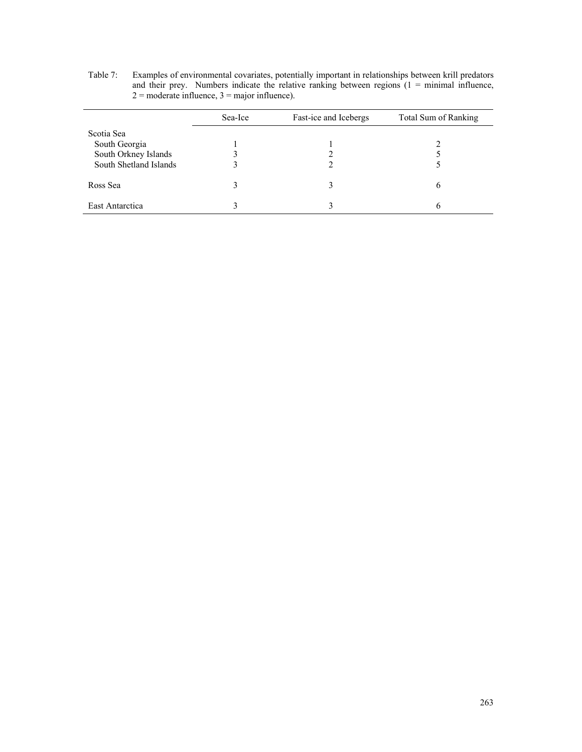| Table 7: | Examples of environmental covariates, potentially important in relationships between krill predators   |
|----------|--------------------------------------------------------------------------------------------------------|
|          | and their prey. Numbers indicate the relative ranking between regions $(1 = \text{minimal influence})$ |
|          | $2 =$ moderate influence, $3 =$ major influence).                                                      |

|                        | Sea-Ice | Fast-ice and Icebergs | Total Sum of Ranking |
|------------------------|---------|-----------------------|----------------------|
| Scotia Sea             |         |                       |                      |
| South Georgia          |         |                       |                      |
| South Orkney Islands   |         |                       |                      |
| South Shetland Islands |         |                       |                      |
| Ross Sea               |         |                       |                      |
| East Antarctica        |         |                       |                      |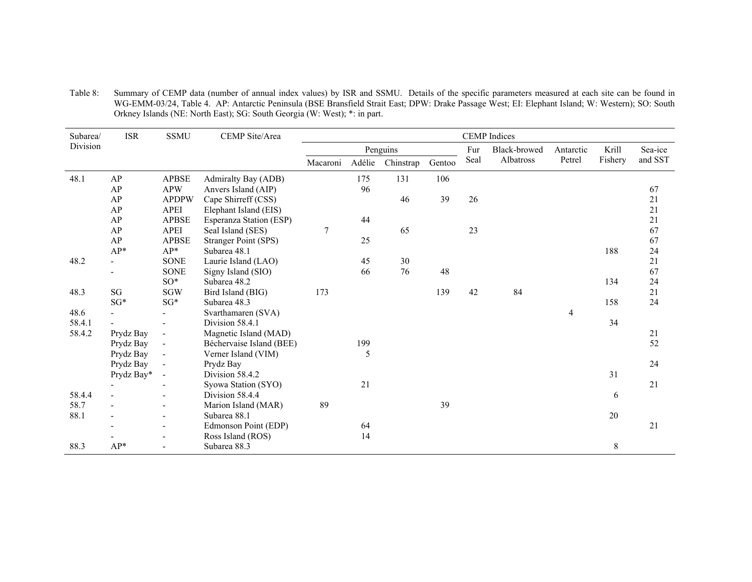| Table 8: | Summary of CEMP data (number of annual index values) by ISR and SSMU. Details of the specific parameters measured at each site can be found in   |
|----------|--------------------------------------------------------------------------------------------------------------------------------------------------|
|          | WG-EMM-03/24, Table 4. AP: Antarctic Peninsula (BSE Bransfield Strait East; DPW: Drake Passage West; EI: Elephant Island; W: Western); SO: South |
|          | Orkney Islands (NE: North East); SG: South Georgia (W: West); *: in part.                                                                        |

| Subarea/ | <b>ISR</b>     | <b>SSMU</b>              | CEMP Site/Area              | <b>CEMP</b> Indices |        |           |        |              |           |        |         |         |
|----------|----------------|--------------------------|-----------------------------|---------------------|--------|-----------|--------|--------------|-----------|--------|---------|---------|
| Division |                |                          |                             | Penguins            |        |           | Fur    | Black-browed | Antarctic | Krill  | Sea-ice |         |
|          |                |                          |                             | Macaroni            | Adélie | Chinstrap | Gentoo | Seal         | Albatross | Petrel | Fishery | and SST |
| 48.1     | AP             | <b>APBSE</b>             | Admiralty Bay (ADB)         |                     | 175    | 131       | 106    |              |           |        |         |         |
|          | AP             | <b>APW</b>               | Anvers Island (AIP)         |                     | 96     |           |        |              |           |        |         | 67      |
|          | AP             | <b>APDPW</b>             | Cape Shirreff (CSS)         |                     |        | 46        | 39     | 26           |           |        |         | 21      |
|          | AP             | <b>APEI</b>              | Elephant Island (EIS)       |                     |        |           |        |              |           |        |         | 21      |
|          | AP             | <b>APBSE</b>             | Esperanza Station (ESP)     |                     | 44     |           |        |              |           |        |         | 21      |
|          | AP             | <b>APEI</b>              | Seal Island (SES)           | 7                   |        | 65        |        | 23           |           |        |         | 67      |
|          | AP             | <b>APBSE</b>             | <b>Stranger Point (SPS)</b> |                     | 25     |           |        |              |           |        |         | 67      |
|          | AP*            | $AP*$                    | Subarea 48.1                |                     |        |           |        |              |           |        | 188     | 24      |
| 48.2     |                | <b>SONE</b>              | Laurie Island (LAO)         |                     | 45     | 30        |        |              |           |        |         | 21      |
|          |                | <b>SONE</b>              | Signy Island (SIO)          |                     | 66     | 76        | 48     |              |           |        |         | 67      |
|          |                | $SO^*$                   | Subarea 48.2                |                     |        |           |        |              |           |        | 134     | 24      |
| 48.3     | SG             | <b>SGW</b>               | Bird Island (BIG)           | 173                 |        |           | 139    | 42           | 84        |        |         | 21      |
|          | $SG*$          | $SG*$                    | Subarea 48.3                |                     |        |           |        |              |           |        | 158     | 24      |
| 48.6     |                |                          | Svarthamaren (SVA)          |                     |        |           |        |              |           | 4      |         |         |
| 58.4.1   |                | $\blacksquare$           | Division 58.4.1             |                     |        |           |        |              |           |        | 34      |         |
| 58.4.2   | Prydz Bay      | $\overline{\phantom{a}}$ | Magnetic Island (MAD)       |                     |        |           |        |              |           |        |         | 21      |
|          | Prydz Bay      | $\overline{\phantom{a}}$ | Béchervaise Island (BEE)    |                     | 199    |           |        |              |           |        |         | 52      |
|          | Prydz Bay      | $\overline{\phantom{a}}$ | Verner Island (VIM)         |                     | 5      |           |        |              |           |        |         |         |
|          | Prydz Bay      | $\blacksquare$           | Prydz Bay                   |                     |        |           |        |              |           |        |         | 24      |
|          | Prydz Bay*     | $\overline{a}$           | Division 58.4.2             |                     |        |           |        |              |           |        | 31      |         |
|          | $\blacksquare$ |                          | Syowa Station (SYO)         |                     | 21     |           |        |              |           |        |         | 21      |
| 58.4.4   |                |                          | Division 58.4.4             |                     |        |           |        |              |           |        | 6       |         |
| 58.7     |                | $\overline{a}$           | Marion Island (MAR)         | 89                  |        |           | 39     |              |           |        |         |         |
| 88.1     |                | $\overline{\phantom{a}}$ | Subarea 88.1                |                     |        |           |        |              |           |        | 20      |         |
|          |                | $\blacksquare$           | Edmonson Point (EDP)        |                     | 64     |           |        |              |           |        |         | 21      |
|          |                |                          | Ross Island (ROS)           |                     | 14     |           |        |              |           |        |         |         |
| 88.3     | $AP*$          | $\blacksquare$           | Subarea 88.3                |                     |        |           |        |              |           |        | 8       |         |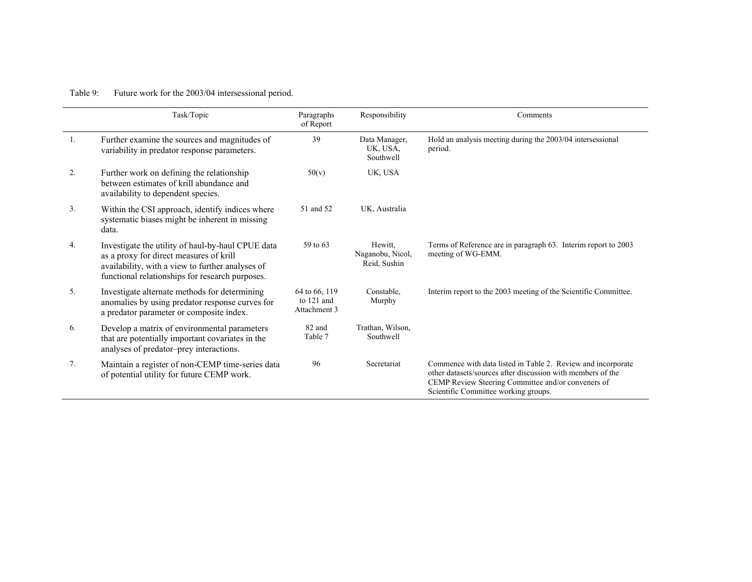# Table 9: Future work for the 2003/04 intersessional period.

|                | Task/Topic                                                                                                                                                                                          | Paragraphs<br>of Report                       | Responsibility                              | Comments                                                                                                                                                                                                                  |
|----------------|-----------------------------------------------------------------------------------------------------------------------------------------------------------------------------------------------------|-----------------------------------------------|---------------------------------------------|---------------------------------------------------------------------------------------------------------------------------------------------------------------------------------------------------------------------------|
| 1.             | Further examine the sources and magnitudes of<br>variability in predator response parameters.                                                                                                       | 39                                            | Data Manager,<br>UK, USA,<br>Southwell      | Hold an analysis meeting during the 2003/04 intersessional<br>period.                                                                                                                                                     |
| 2.             | Further work on defining the relationship<br>between estimates of krill abundance and<br>availability to dependent species.                                                                         | 50(v)                                         | UK, USA                                     |                                                                                                                                                                                                                           |
| 3 <sub>1</sub> | Within the CSI approach, identify indices where<br>systematic biases might be inherent in missing<br>data.                                                                                          | 51 and 52                                     | UK, Australia                               |                                                                                                                                                                                                                           |
| 4.             | Investigate the utility of haul-by-haul CPUE data<br>as a proxy for direct measures of krill<br>availability, with a view to further analyses of<br>functional relationships for research purposes. | 59 to 63                                      | Hewitt.<br>Naganobu, Nicol,<br>Reid, Sushin | Terms of Reference are in paragraph 63. Interim report to 2003<br>meeting of WG-EMM.                                                                                                                                      |
| 5.             | Investigate alternate methods for determining<br>anomalies by using predator response curves for<br>a predator parameter or composite index.                                                        | 64 to 66, 119<br>to $121$ and<br>Attachment 3 | Constable.<br>Murphy                        | Interim report to the 2003 meeting of the Scientific Committee.                                                                                                                                                           |
| 6.             | Develop a matrix of environmental parameters<br>that are potentially important covariates in the<br>analyses of predator-prey interactions.                                                         | 82 and<br>Table 7                             | Trathan, Wilson,<br>Southwell               |                                                                                                                                                                                                                           |
| 7 <sub>1</sub> | Maintain a register of non-CEMP time-series data<br>of potential utility for future CEMP work.                                                                                                      | 96                                            | Secretariat                                 | Commence with data listed in Table 2. Review and incorporate<br>other datasets/sources after discussion with members of the<br>CEMP Review Steering Committee and/or conveners of<br>Scientific Committee working groups. |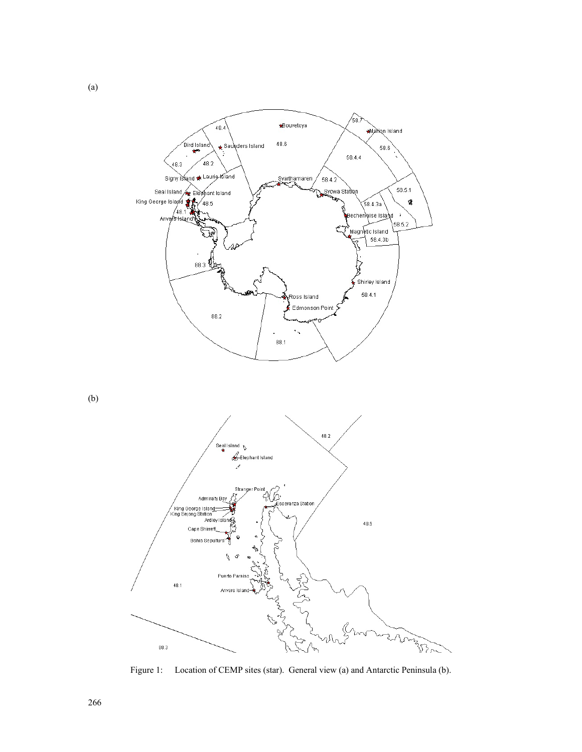

(b)

(a)



Figure 1: Location of CEMP sites (star). General view (a) and Antarctic Peninsula (b).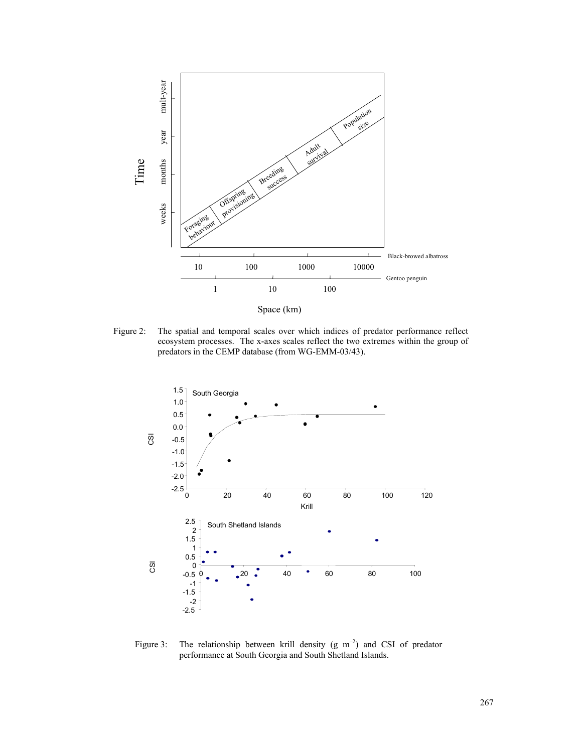

Figure 2: The spatial and temporal scales over which indices of predator performance reflect ecosystem processes. The x-axes scales reflect the two extremes within the group of

predators in the CEMP database (from WG-EMM-03/43).



Figure 3: The relationship between krill density (g  $m^{-2}$ ) and CSI of predator performance at South Georgia and South Shetland Islands.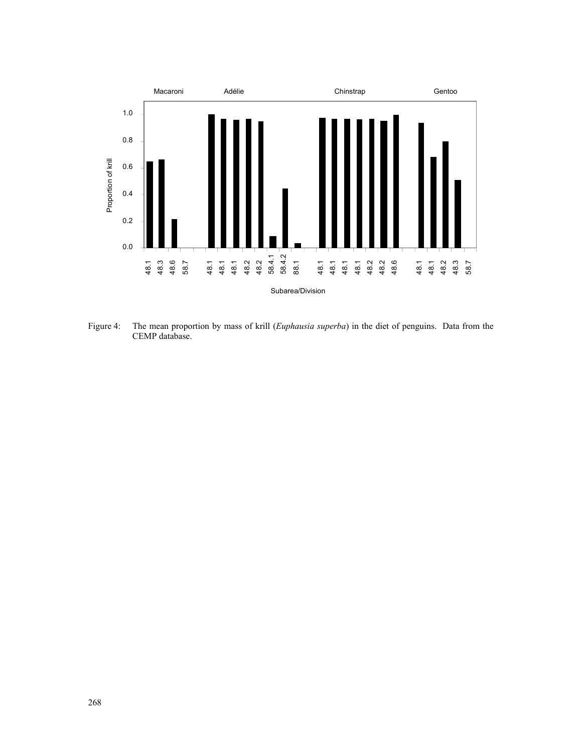

Figure 4: The mean proportion by mass of krill (*Euphausia superba*) in the diet of penguins. Data from the CEMP database.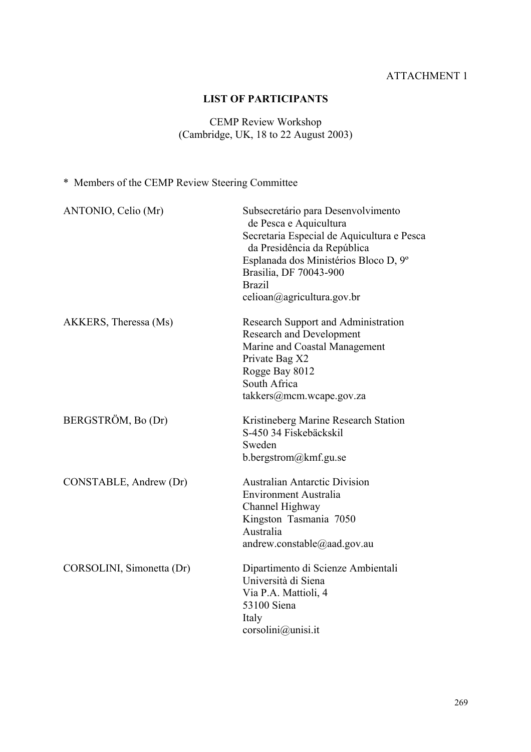# ATTACHMENT 1

# **LIST OF PARTICIPANTS**

# CEMP Review Workshop (Cambridge, UK, 18 to 22 August 2003)

# \* Members of the CEMP Review Steering Committee

| ANTONIO, Celio (Mr)       | Subsecretário para Desenvolvimento<br>de Pesca e Aquicultura<br>Secretaria Especial de Aquicultura e Pesca<br>da Presidência da República<br>Esplanada dos Ministérios Bloco D, 9º<br>Brasilia, DF 70043-900<br><b>Brazil</b><br>celioan@agricultura.gov.br |
|---------------------------|-------------------------------------------------------------------------------------------------------------------------------------------------------------------------------------------------------------------------------------------------------------|
| AKKERS, Theressa (Ms)     | Research Support and Administration<br><b>Research and Development</b><br>Marine and Coastal Management<br>Private Bag X2<br>Rogge Bay 8012<br>South Africa<br>takkers@mcm.wcape.gov.za                                                                     |
| BERGSTRÖM, Bo (Dr)        | Kristineberg Marine Research Station<br>S-450 34 Fiskebäckskil<br>Sweden<br>b.bergstrom@kmf.gu.se                                                                                                                                                           |
| CONSTABLE, Andrew (Dr)    | <b>Australian Antarctic Division</b><br>Environment Australia<br>Channel Highway<br>Kingston Tasmania 7050<br>Australia<br>andrew.constable@aad.gov.au                                                                                                      |
| CORSOLINI, Simonetta (Dr) | Dipartimento di Scienze Ambientali<br>Università di Siena<br>Via P.A. Mattioli, 4<br>53100 Siena<br>Italy<br>corsolini@unisi.it                                                                                                                             |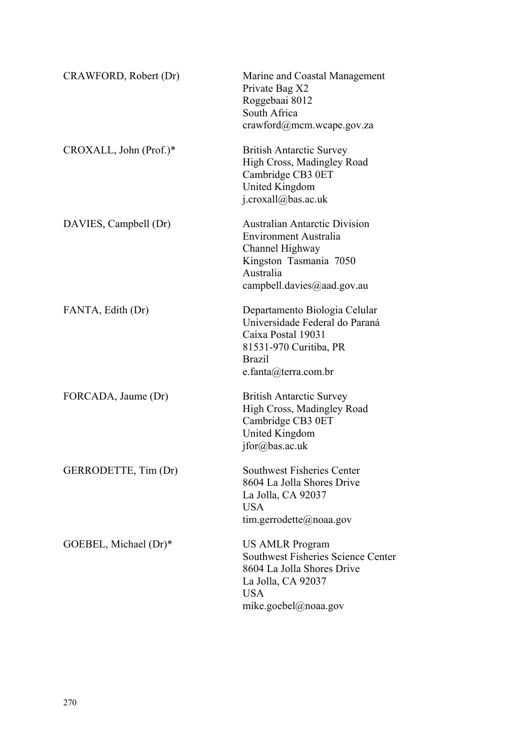| CRAWFORD, Robert (Dr)  | Marine and Coastal Management<br>Private Bag X2<br>Roggebaai 8012<br>South Africa<br>crawford@mcm.wcape.gov.za                                               |
|------------------------|--------------------------------------------------------------------------------------------------------------------------------------------------------------|
| CROXALL, John (Prof.)* | <b>British Antarctic Survey</b><br>High Cross, Madingley Road<br>Cambridge CB3 0ET<br>United Kingdom<br>j.croxall@bas.ac.uk                                  |
| DAVIES, Campbell (Dr)  | <b>Australian Antarctic Division</b><br><b>Environment Australia</b><br>Channel Highway<br>Kingston Tasmania 7050<br>Australia<br>campbell.davies@aad.gov.au |
| FANTA, Edith (Dr)      | Departamento Biologia Celular<br>Universidade Federal do Paraná<br>Caixa Postal 19031<br>81531-970 Curitiba, PR<br><b>Brazil</b><br>e.fanta@terra.com.br     |
| FORCADA, Jaume (Dr)    | <b>British Antarctic Survey</b><br>High Cross, Madingley Road<br>Cambridge CB3 0ET<br>United Kingdom<br>jfor@bas.ac.uk                                       |
| GERRODETTE, Tim (Dr)   | <b>Southwest Fisheries Center</b><br>8604 La Jolla Shores Drive<br>La Jolla, CA 92037<br><b>USA</b><br>tim.gerrodette@noaa.gov                               |
| GOEBEL, Michael (Dr)*  | <b>US AMLR Program</b><br>Southwest Fisheries Science Center<br>8604 La Jolla Shores Drive<br>La Jolla, CA 92037<br><b>USA</b><br>mike.goebel@noaa.gov       |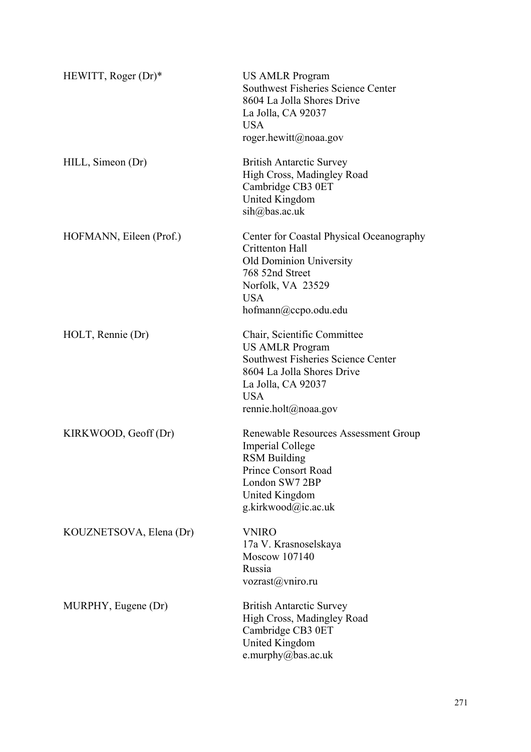| HEWITT, Roger $(Dr)^*$  | <b>US AMLR Program</b><br><b>Southwest Fisheries Science Center</b><br>8604 La Jolla Shores Drive<br>La Jolla, CA 92037<br><b>USA</b><br>roger.hewitt@noaa.gov                               |
|-------------------------|----------------------------------------------------------------------------------------------------------------------------------------------------------------------------------------------|
| HILL, Simeon (Dr)       | <b>British Antarctic Survey</b><br>High Cross, Madingley Road<br>Cambridge CB3 0ET<br><b>United Kingdom</b><br>$\sin(a)$ bas.ac.uk                                                           |
| HOFMANN, Eileen (Prof.) | Center for Coastal Physical Oceanography<br>Crittenton Hall<br><b>Old Dominion University</b><br>768 52nd Street<br>Norfolk, VA 23529<br><b>USA</b><br>hofmann@ccpo.odu.edu                  |
| HOLT, Rennie (Dr)       | Chair, Scientific Committee<br><b>US AMLR Program</b><br><b>Southwest Fisheries Science Center</b><br>8604 La Jolla Shores Drive<br>La Jolla, CA 92037<br><b>USA</b><br>rennie.holt@noaa.gov |
| KIRKWOOD, Geoff (Dr)    | Renewable Resources Assessment Group<br><b>Imperial College</b><br><b>RSM Building</b><br>Prince Consort Road<br>London SW7 2BP<br>United Kingdom<br>g.kirkwood@ic.ac.uk                     |
| KOUZNETSOVA, Elena (Dr) | <b>VNIRO</b><br>17a V. Krasnoselskaya<br>Moscow 107140<br>Russia<br>vozrast@vmiro.ru                                                                                                         |
| MURPHY, Eugene (Dr)     | <b>British Antarctic Survey</b><br>High Cross, Madingley Road<br>Cambridge CB3 0ET<br><b>United Kingdom</b><br>e.murphy@bas.ac.uk                                                            |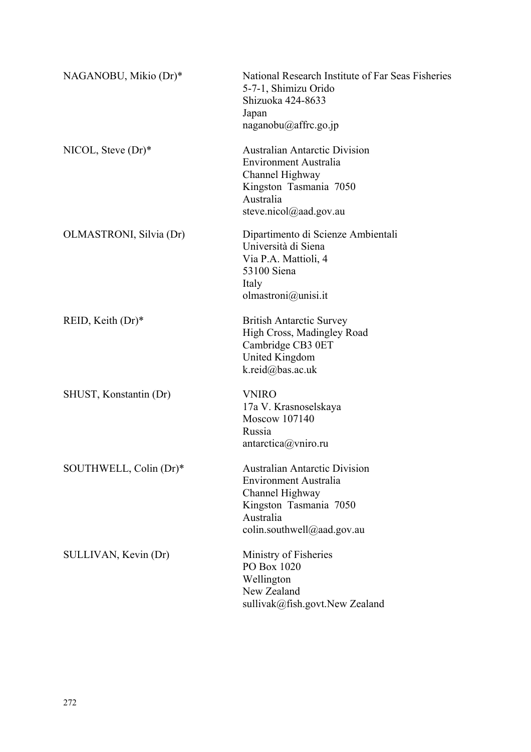| NAGANOBU, Mikio (Dr)*   | National Research Institute of Far Seas Fisheries<br>5-7-1, Shimizu Orido<br>Shizuoka 424-8633<br>Japan<br>naganobu@affrc.go.jp                          |
|-------------------------|----------------------------------------------------------------------------------------------------------------------------------------------------------|
| NICOL, Steve $(Dr)^*$   | <b>Australian Antarctic Division</b><br><b>Environment Australia</b><br>Channel Highway<br>Kingston Tasmania 7050<br>Australia<br>steve.nicol@aad.gov.au |
| OLMASTRONI, Silvia (Dr) | Dipartimento di Scienze Ambientali<br>Università di Siena<br>Via P.A. Mattioli, 4<br>53100 Siena<br>Italy<br>olmastroni@unisi.it                         |
| REID, Keith $(Dr)^*$    | <b>British Antarctic Survey</b><br>High Cross, Madingley Road<br>Cambridge CB3 0ET<br>United Kingdom<br>k.reid@bas.ac.uk                                 |
| SHUST, Konstantin (Dr)  | <b>VNIRO</b><br>17a V. Krasnoselskaya<br>Moscow 107140<br>Russia<br>antarctica@vniro.ru                                                                  |
| SOUTHWELL, Colin (Dr)*  | <b>Australian Antarctic Division</b><br>Environment Australia<br>Channel Highway<br>Kingston Tasmania 7050<br>Australia<br>colin.southwell@aad.gov.au    |
| SULLIVAN, Kevin (Dr)    | Ministry of Fisheries<br>PO Box 1020<br>Wellington<br>New Zealand<br>sullivak@fish.govt.New Zealand                                                      |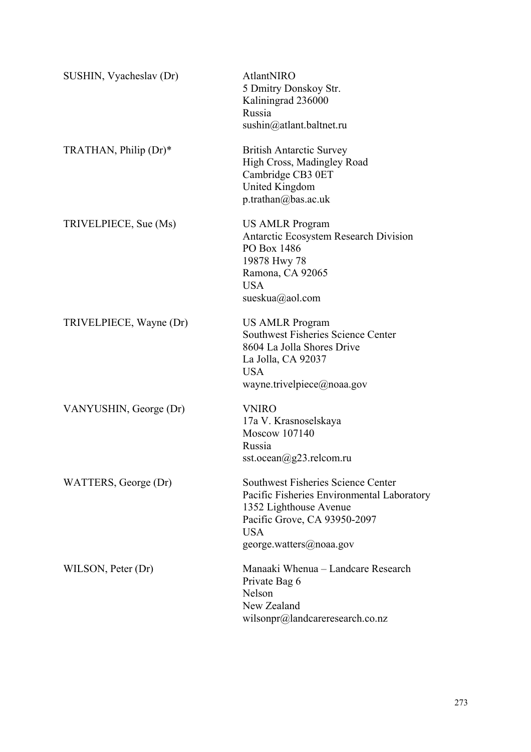| SUSHIN, Vyacheslav (Dr) | AtlantNIRO<br>5 Dmitry Donskoy Str.<br>Kaliningrad 236000<br>Russia<br>sushin@atlant.baltnet.ru                                                                                     |
|-------------------------|-------------------------------------------------------------------------------------------------------------------------------------------------------------------------------------|
| TRATHAN, Philip (Dr)*   | <b>British Antarctic Survey</b><br>High Cross, Madingley Road<br>Cambridge CB3 0ET<br>United Kingdom<br>p.trainan@bas.ac.uk                                                         |
| TRIVELPIECE, Sue (Ms)   | US AMLR Program<br>Antarctic Ecosystem Research Division<br>PO Box 1486<br>19878 Hwy 78<br>Ramona, CA 92065<br><b>USA</b><br>sueskua@aol.com                                        |
| TRIVELPIECE, Wayne (Dr) | <b>US AMLR Program</b><br><b>Southwest Fisheries Science Center</b><br>8604 La Jolla Shores Drive<br>La Jolla, CA 92037<br><b>USA</b><br>wayne.trivelpiece@noaa.gov                 |
| VANYUSHIN, George (Dr)  | <b>VNIRO</b><br>17a V. Krasnoselskaya<br>Moscow 107140<br>Russia<br>sst.ocean@g23.relcom.ru                                                                                         |
| WATTERS, George (Dr)    | Southwest Fisheries Science Center<br>Pacific Fisheries Environmental Laboratory<br>1352 Lighthouse Avenue<br>Pacific Grove, CA 93950-2097<br><b>USA</b><br>george.watters@noaa.gov |
| WILSON, Peter (Dr)      | Manaaki Whenua – Landcare Research<br>Private Bag 6<br>Nelson<br>New Zealand<br>wilsonpr@landcareresearch.co.nz                                                                     |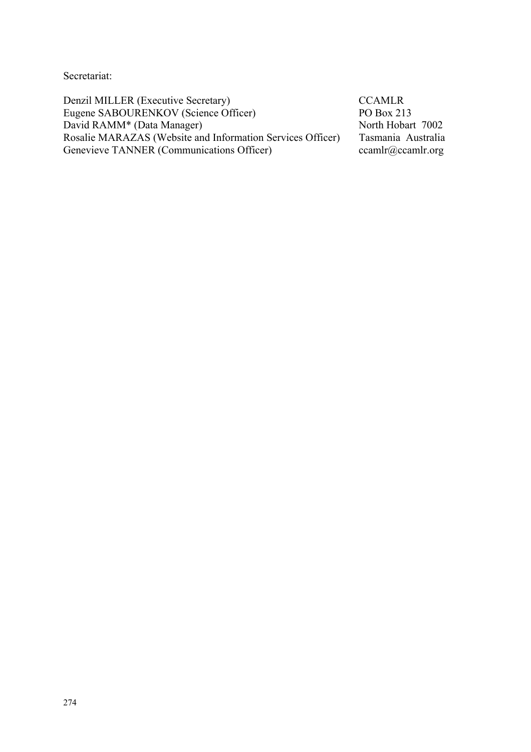Secretariat:

Denzil MILLER (Executive Secretary) CCAMLR Eugene SABOURENKOV (Science Officer) PO Box 213<br>David RAMM\* (Data Manager) North Hobart 7002 David RAMM<sup>\*</sup> (Data Manager) Rosalie MARAZAS (Website and Information Services Officer) Tasmania Australia Genevieve TANNER (Communications Officer) ccamlr@ccamlr.org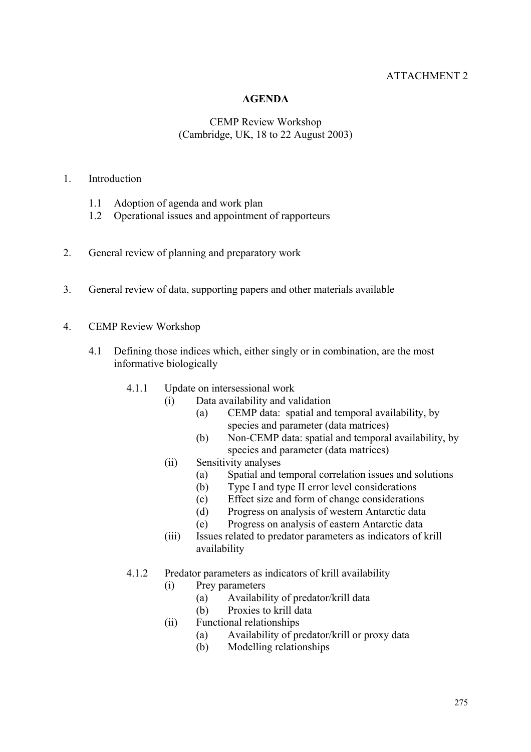# ATTACHMENT 2

# **AGENDA**

# CEMP Review Workshop (Cambridge, UK, 18 to 22 August 2003)

# 1. Introduction

- 1.1 Adoption of agenda and work plan
- 1.2 Operational issues and appointment of rapporteurs
- 2. General review of planning and preparatory work
- 3. General review of data, supporting papers and other materials available
- 4. CEMP Review Workshop
	- 4.1 Defining those indices which, either singly or in combination, are the most informative biologically
		- 4.1.1 Update on intersessional work
			- (i) Data availability and validation
				- (a) CEMP data: spatial and temporal availability, by species and parameter (data matrices)
				- (b) Non-CEMP data: spatial and temporal availability, by species and parameter (data matrices)
			- (ii) Sensitivity analyses
				- (a) Spatial and temporal correlation issues and solutions
				- (b) Type I and type II error level considerations
				- (c) Effect size and form of change considerations
				- (d) Progress on analysis of western Antarctic data
				- (e) Progress on analysis of eastern Antarctic data
			- (iii) Issues related to predator parameters as indicators of krill availability
		- 4.1.2 Predator parameters as indicators of krill availability
			- (i) Prey parameters
				- (a) Availability of predator/krill data
				- (b) Proxies to krill data
			- (ii) Functional relationships
				- (a) Availability of predator/krill or proxy data
				- (b) Modelling relationships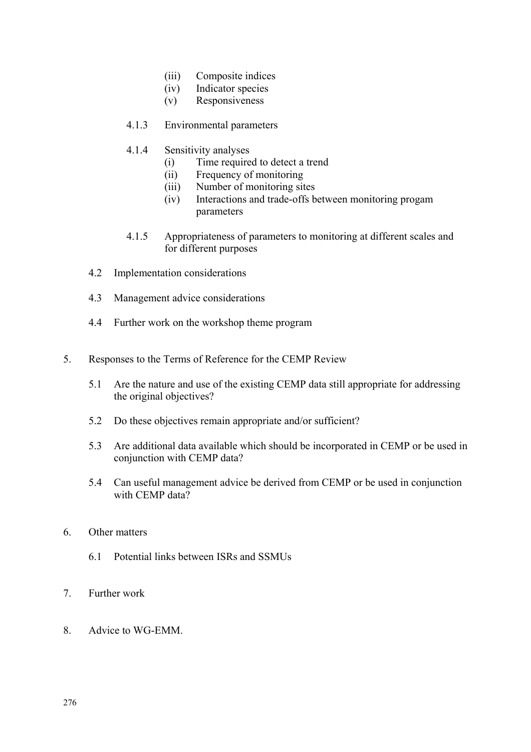- (iii) Composite indices
- (iv) Indicator species
- (v) Responsiveness
- 4.1.3 Environmental parameters
- 4.1.4 Sensitivity analyses
	- (i) Time required to detect a trend
	- (ii) Frequency of monitoring
	- (iii) Number of monitoring sites
	- (iv) Interactions and trade-offs between monitoring progam parameters
- 4.1.5 Appropriateness of parameters to monitoring at different scales and for different purposes
- 4.2 Implementation considerations
- 4.3 Management advice considerations
- 4.4 Further work on the workshop theme program
- 5. Responses to the Terms of Reference for the CEMP Review
	- 5.1 Are the nature and use of the existing CEMP data still appropriate for addressing the original objectives?
	- 5.2 Do these objectives remain appropriate and/or sufficient?
	- 5.3 Are additional data available which should be incorporated in CEMP or be used in conjunction with CEMP data?
	- 5.4 Can useful management advice be derived from CEMP or be used in conjunction with CEMP data?
- 6. Other matters
	- 6.1 Potential links between ISRs and SSMUs
- 7. Further work
- 8. Advice to WG-EMM.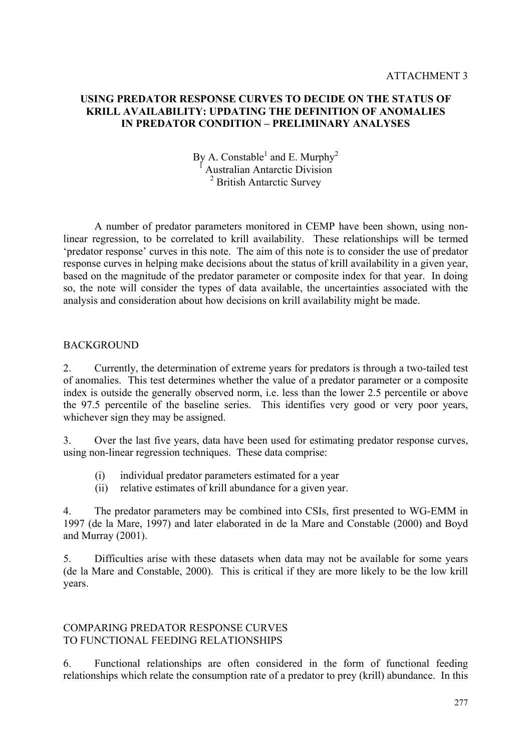# **USING PREDATOR RESPONSE CURVES TO DECIDE ON THE STATUS OF KRILL AVAILABILITY: UPDATING THE DEFINITION OF ANOMALIES IN PREDATOR CONDITION – PRELIMINARY ANALYSES**

By A. Constable<sup>1</sup> and E. Murphy<sup>2</sup> 1 Australian Antarctic Division <sup>2</sup> British Antarctic Survey

 A number of predator parameters monitored in CEMP have been shown, using nonlinear regression, to be correlated to krill availability. These relationships will be termed 'predator response' curves in this note. The aim of this note is to consider the use of predator response curves in helping make decisions about the status of krill availability in a given year, based on the magnitude of the predator parameter or composite index for that year. In doing so, the note will consider the types of data available, the uncertainties associated with the analysis and consideration about how decisions on krill availability might be made.

# **BACKGROUND**

2. Currently, the determination of extreme years for predators is through a two-tailed test of anomalies. This test determines whether the value of a predator parameter or a composite index is outside the generally observed norm, i.e. less than the lower 2.5 percentile or above the 97.5 percentile of the baseline series. This identifies very good or very poor years, whichever sign they may be assigned.

3. Over the last five years, data have been used for estimating predator response curves, using non-linear regression techniques. These data comprise:

- (i) individual predator parameters estimated for a year
- (ii) relative estimates of krill abundance for a given year.

4. The predator parameters may be combined into CSIs, first presented to WG-EMM in 1997 (de la Mare, 1997) and later elaborated in de la Mare and Constable (2000) and Boyd and Murray (2001).

5. Difficulties arise with these datasets when data may not be available for some years (de la Mare and Constable, 2000). This is critical if they are more likely to be the low krill years.

# COMPARING PREDATOR RESPONSE CURVES TO FUNCTIONAL FEEDING RELATIONSHIPS

6. Functional relationships are often considered in the form of functional feeding relationships which relate the consumption rate of a predator to prey (krill) abundance. In this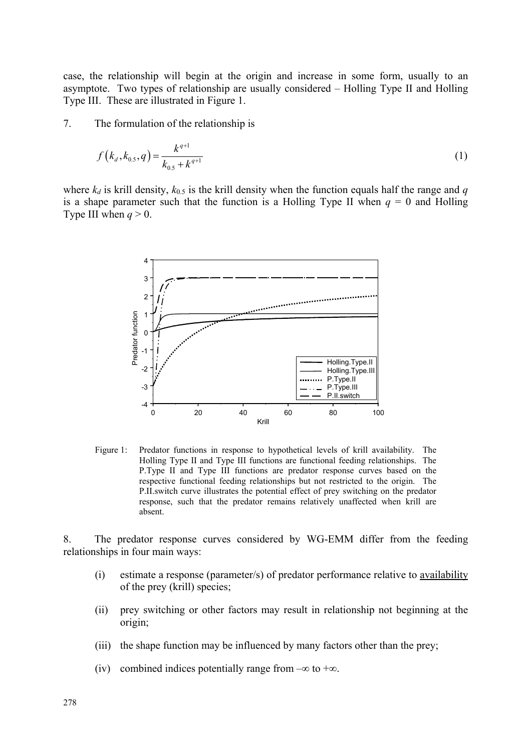case, the relationship will begin at the origin and increase in some form, usually to an asymptote. Two types of relationship are usually considered – Holling Type II and Holling Type III. These are illustrated in Figure 1.

7. The formulation of the relationship is

$$
f(k_a, k_{0.5}, q) = \frac{k^{q+1}}{k_{0.5} + k^{q+1}}
$$
 (1)

where  $k_d$  is krill density,  $k_{0.5}$  is the krill density when the function equals half the range and *q* is a shape parameter such that the function is a Holling Type II when  $q = 0$  and Holling Type III when  $q > 0$ .



Figure 1: Predator functions in response to hypothetical levels of krill availability. The Holling Type II and Type III functions are functional feeding relationships. The P.Type II and Type III functions are predator response curves based on the respective functional feeding relationships but not restricted to the origin. The P.II.switch curve illustrates the potential effect of prey switching on the predator response, such that the predator remains relatively unaffected when krill are absent.

8. The predator response curves considered by WG-EMM differ from the feeding relationships in four main ways:

- (i) estimate a response (parameter/s) of predator performance relative to availability of the prey (krill) species;
- (ii) prey switching or other factors may result in relationship not beginning at the origin;
- (iii) the shape function may be influenced by many factors other than the prey;
- (iv) combined indices potentially range from  $-\infty$  to  $+\infty$ .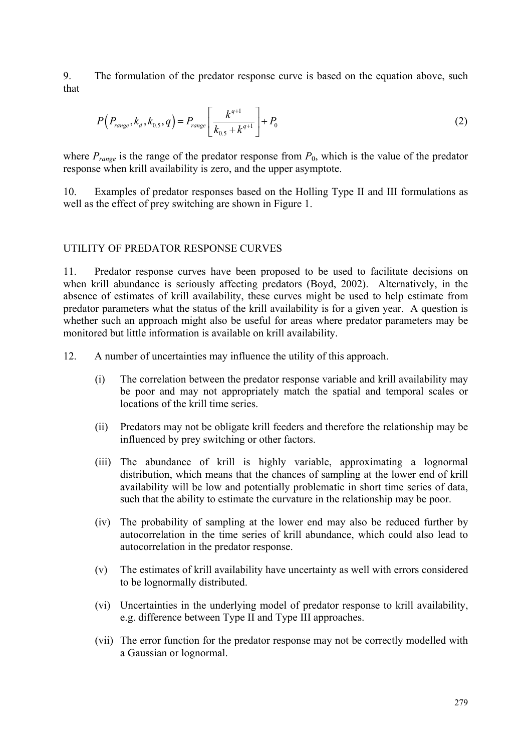9. The formulation of the predator response curve is based on the equation above, such that

$$
P(P_{range}, k_d, k_{0.5}, q) = P_{range} \left[ \frac{k^{q+1}}{k_{0.5} + k^{q+1}} \right] + P_0
$$
 (2)

where  $P_{\text{range}}$  is the range of the predator response from  $P_0$ , which is the value of the predator response when krill availability is zero, and the upper asymptote.

10. Examples of predator responses based on the Holling Type II and III formulations as well as the effect of prey switching are shown in Figure 1.

#### UTILITY OF PREDATOR RESPONSE CURVES

11. Predator response curves have been proposed to be used to facilitate decisions on when krill abundance is seriously affecting predators (Boyd, 2002). Alternatively, in the absence of estimates of krill availability, these curves might be used to help estimate from predator parameters what the status of the krill availability is for a given year. A question is whether such an approach might also be useful for areas where predator parameters may be monitored but little information is available on krill availability.

12. A number of uncertainties may influence the utility of this approach.

- (i) The correlation between the predator response variable and krill availability may be poor and may not appropriately match the spatial and temporal scales or locations of the krill time series.
- (ii) Predators may not be obligate krill feeders and therefore the relationship may be influenced by prey switching or other factors.
- (iii) The abundance of krill is highly variable, approximating a lognormal distribution, which means that the chances of sampling at the lower end of krill availability will be low and potentially problematic in short time series of data, such that the ability to estimate the curvature in the relationship may be poor.
- (iv) The probability of sampling at the lower end may also be reduced further by autocorrelation in the time series of krill abundance, which could also lead to autocorrelation in the predator response.
- (v) The estimates of krill availability have uncertainty as well with errors considered to be lognormally distributed.
- (vi) Uncertainties in the underlying model of predator response to krill availability, e.g. difference between Type II and Type III approaches.
- (vii) The error function for the predator response may not be correctly modelled with a Gaussian or lognormal.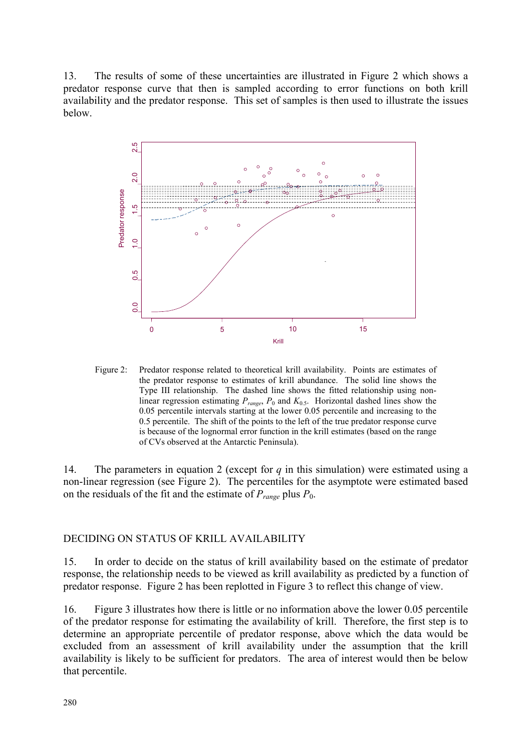13. The results of some of these uncertainties are illustrated in Figure 2 which shows a predator response curve that then is sampled according to error functions on both krill availability and the predator response. This set of samples is then used to illustrate the issues below.



Figure 2: Predator response related to theoretical krill availability. Points are estimates of the predator response to estimates of krill abundance. The solid line shows the Type III relationship. The dashed line shows the fitted relationship using nonlinear regression estimating  $P_{range}$ ,  $P_0$  and  $K_{0.5}$ . Horizontal dashed lines show the 0.05 percentile intervals starting at the lower 0.05 percentile and increasing to the 0.5 percentile. The shift of the points to the left of the true predator response curve is because of the lognormal error function in the krill estimates (based on the range of CVs observed at the Antarctic Peninsula).

14. The parameters in equation 2 (except for *q* in this simulation) were estimated using a non-linear regression (see Figure 2). The percentiles for the asymptote were estimated based on the residuals of the fit and the estimate of  $P_{range}$  plus  $P_0$ .

# DECIDING ON STATUS OF KRILL AVAILABILITY

15. In order to decide on the status of krill availability based on the estimate of predator response, the relationship needs to be viewed as krill availability as predicted by a function of predator response. Figure 2 has been replotted in Figure 3 to reflect this change of view.

16. Figure 3 illustrates how there is little or no information above the lower 0.05 percentile of the predator response for estimating the availability of krill. Therefore, the first step is to determine an appropriate percentile of predator response, above which the data would be excluded from an assessment of krill availability under the assumption that the krill availability is likely to be sufficient for predators. The area of interest would then be below that percentile.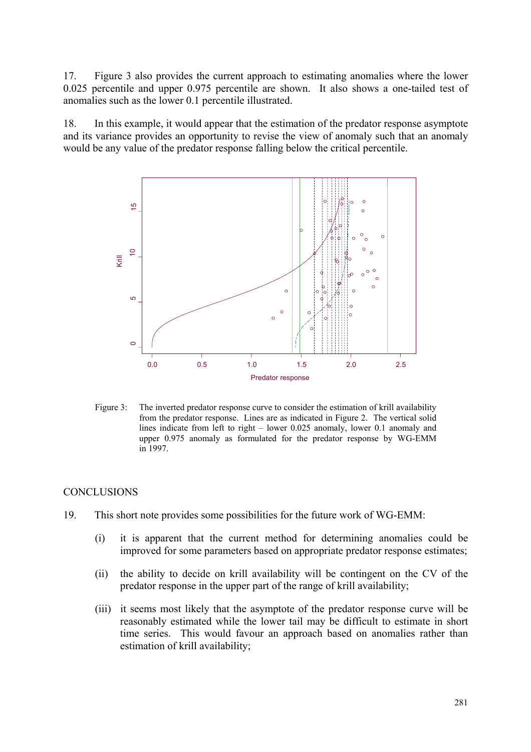17. Figure 3 also provides the current approach to estimating anomalies where the lower 0.025 percentile and upper 0.975 percentile are shown. It also shows a one-tailed test of anomalies such as the lower 0.1 percentile illustrated.

18. In this example, it would appear that the estimation of the predator response asymptote and its variance provides an opportunity to revise the view of anomaly such that an anomaly would be any value of the predator response falling below the critical percentile.



Figure 3: The inverted predator response curve to consider the estimation of krill availability from the predator response. Lines are as indicated in Figure 2. The vertical solid lines indicate from left to right – lower 0.025 anomaly, lower 0.1 anomaly and upper 0.975 anomaly as formulated for the predator response by WG-EMM in 1997.

### **CONCLUSIONS**

- 19. This short note provides some possibilities for the future work of WG-EMM:
	- (i) it is apparent that the current method for determining anomalies could be improved for some parameters based on appropriate predator response estimates;
	- (ii) the ability to decide on krill availability will be contingent on the CV of the predator response in the upper part of the range of krill availability;
	- (iii) it seems most likely that the asymptote of the predator response curve will be reasonably estimated while the lower tail may be difficult to estimate in short time series. This would favour an approach based on anomalies rather than estimation of krill availability;